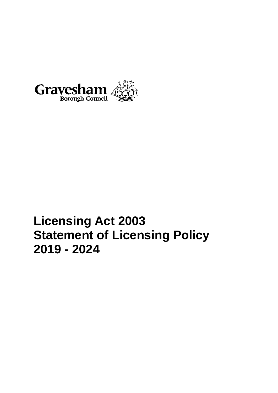

# **Licensing Act 2003 Statement of Licensing Policy 2019 - 2024**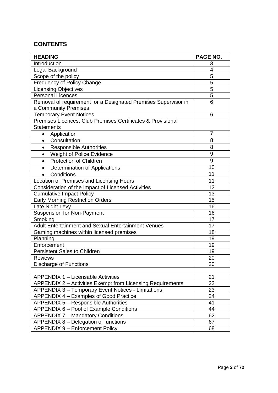## **CONTENTS**

| <b>HEADING</b>                                                                         | PAGE NO.       |
|----------------------------------------------------------------------------------------|----------------|
| Introduction                                                                           | 3              |
| Legal Background                                                                       | $\overline{4}$ |
| Scope of the policy                                                                    | 5              |
| <b>Frequency of Policy Change</b>                                                      | 5              |
| <b>Licensing Objectives</b>                                                            | 5              |
| <b>Personal Licences</b>                                                               | 5              |
| Removal of requirement for a Designated Premises Supervisor in<br>a Community Premises | 6              |
| <b>Temporary Event Notices</b>                                                         | 6              |
| Premises Licences, Club Premises Certificates & Provisional<br><b>Statements</b>       |                |
| Application<br>$\bullet$                                                               | 7              |
| Consultation<br>$\bullet$                                                              | 8              |
| <b>Responsible Authorities</b><br>$\bullet$                                            | 8              |
| Weight of Police Evidence<br>$\bullet$                                                 | 9              |
| <b>Protection of Children</b><br>$\bullet$                                             | 9              |
| Determination of Applications<br>$\bullet$                                             | 10             |
| Conditions                                                                             | 11             |
| Location of Premises and Licensing Hours                                               | 11             |
| Consideration of the Impact of Licensed Activities                                     | 12             |
| <b>Cumulative Impact Policy</b>                                                        | 13             |
| <b>Early Morning Restriction Orders</b>                                                | 15             |
| Late Night Levy                                                                        | 16             |
| <b>Suspension for Non-Payment</b>                                                      | 16             |
| Smoking                                                                                | 17             |
| <b>Adult Entertainment and Sexual Entertainment Venues</b>                             | 17             |
| Gaming machines within licensed premises                                               | 18             |
| Planning                                                                               | 19             |
| Enforcement                                                                            | 19             |
| <b>Persistent Sales to Children</b>                                                    | 19             |
| <b>Reviews</b>                                                                         | 20             |
| <b>Discharge of Functions</b>                                                          | 20             |
|                                                                                        |                |
| <b>APPENDIX 1 – Licensable Activities</b>                                              | 21             |
| APPENDIX 2 - Activities Exempt from Licensing Requirements                             | 22             |
| <b>APPENDIX 3 - Temporary Event Notices - Limitations</b>                              | 23             |
| APPENDIX 4 - Examples of Good Practice                                                 | 24             |
| APPENDIX 5 - Responsible Authorities                                                   | 41             |
| APPENDIX 6 - Pool of Example Conditions                                                | 44             |
| <b>APPENDIX 7 – Mandatory Conditions</b>                                               | 62             |
| APPENDIX 8 – Delegation of functions                                                   | 67             |
| <b>APPENDIX 9 - Enforcement Policy</b>                                                 | 68             |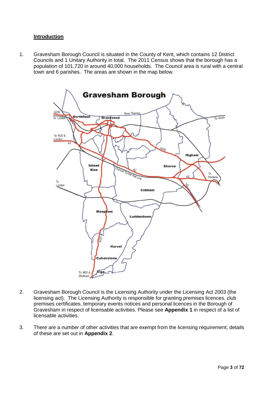## **Introduction**

1. Gravesham Borough Council is situated in the County of Kent, which contains 12 District Councils and 1 Unitary Authority in total. The 2011 Census shows that the borough has a population of 101,720 in around 40,000 households. The Council area is rural with a central town and 6 parishes. The areas are shown in the map below.



- 2. Gravesham Borough Council is the Licensing Authority under the Licensing Act 2003 (the licensing act). The Licensing Authority is responsible for granting premises licences, club premises certificates, temporary events notices and personal licences in the Borough of Gravesham in respect of licensable activities. Please see **Appendix 1** in respect of a list of licensable activities.
- 3. There are a number of other activities that are exempt from the licensing requirement; details of these are set out in **Appendix 2**.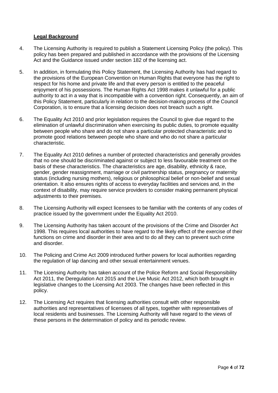## **Legal Background**

- 4. The Licensing Authority is required to publish a Statement Licensing Policy (the policy). This policy has been prepared and published in accordance with the provisions of the Licensing Act and the Guidance issued under section 182 of the licensing act.
- 5. In addition, in formulating this Policy Statement, the Licensing Authority has had regard to the provisions of the European Convention on Human Rights that everyone has the right to respect for his home and private life and that every person is entitled to the peaceful enjoyment of his possessions. The Human Rights Act 1998 makes it unlawful for a public authority to act in a way that is incompatible with a convention right. Consequently, an aim of this Policy Statement, particularly in relation to the decision-making process of the Council Corporation, is to ensure that a licensing decision does not breach such a right.
- 6. The Equality Act 2010 and prior legislation requires the Council to give due regard to the elimination of unlawful discrimination when exercising its public duties, to promote equality between people who share and do not share a particular protected characteristic and to promote good relations between people who share and who do not share a particular characteristic.
- 7. The Equality Act 2010 defines a number of protected characteristics and generally provides that no one should be discriminated against or subject to less favourable treatment on the basis of these characteristics. The characteristics are age, disability, ethnicity & race, gender, gender reassignment, marriage or civil partnership status, pregnancy or maternity status (including nursing mothers), religious or philosophical belief or non-belief and sexual orientation. It also ensures rights of access to everyday facilities and services and, in the context of disability, may require service providers to consider making permanent physical adjustments to their premises.
- 8. The Licensing Authority will expect licensees to be familiar with the contents of any codes of practice issued by the government under the Equality Act 2010.
- 9. The Licensing Authority has taken account of the provisions of the Crime and Disorder Act 1998. This requires local authorities to have regard to the likely effect of the exercise of their functions on crime and disorder in their area and to do all they can to prevent such crime and disorder.
- 10. The Policing and Crime Act 2009 introduced further powers for local authorities regarding the regulation of lap dancing and other sexual entertainment venues.
- 11. The Licensing Authority has taken account of the Police Reform and Social Responsibility Act 2011, the Deregulation Act 2015 and the Live Music Act 2012, which both brought in legislative changes to the Licensing Act 2003. The changes have been reflected in this policy.
- 12. The Licensing Act requires that licensing authorities consult with other responsible authorities and representatives of licensees of all types, together with representatives of local residents and businesses. The Licensing Authority will have regard to the views of these persons in the determination of policy and its periodic review.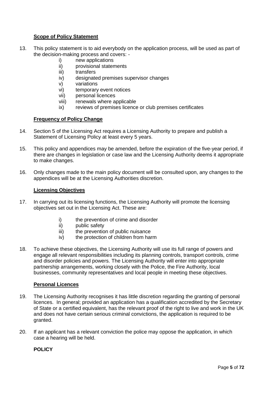## **Scope of Policy Statement**

- 13. This policy statement is to aid everybody on the application process, will be used as part of the decision-making process and covers:
	- i) new applications
	- ii) provisional statements
	- iii) transfers
	- iv) designated premises supervisor changes
	- v) variations
	- vi) temporary event notices
	- vii) personal licences
	- viii) renewals where applicable
	- ix) reviews of premises licence or club premises certificates

#### **Frequency of Policy Change**

- 14. Section 5 of the Licensing Act requires a Licensing Authority to prepare and publish a Statement of Licensing Policy at least every 5 years.
- 15. This policy and appendices may be amended, before the expiration of the five-year period, if there are changes in legislation or case law and the Licensing Authority deems it appropriate to make changes.
- 16. Only changes made to the main policy document will be consulted upon, any changes to the appendices will be at the Licensing Authorities discretion.

#### **Licensing Objectives**

- 17. In carrying out its licensing functions, the Licensing Authority will promote the licensing objectives set out in the Licensing Act. These are:
	- i) the prevention of crime and disorder
	- ii) public safety
	- iii) the prevention of public nuisance
	- iv) the protection of children from harm
- 18. To achieve these objectives, the Licensing Authority will use its full range of powers and engage all relevant responsibilities including its planning controls, transport controls, crime and disorder policies and powers. The Licensing Authority will enter into appropriate partnership arrangements, working closely with the Police, the Fire Authority, local businesses, community representatives and local people in meeting these objectives.

#### **Personal Licences**

- 19. The Licensing Authority recognises it has little discretion regarding the granting of personal licences. In general; provided an application has a qualification accredited by the Secretary of State or a certified equivalent, has the relevant proof of the right to live and work in the UK and does not have certain serious criminal convictions, the application is required to be granted.
- 20. If an applicant has a relevant conviction the police may oppose the application, in which case a hearing will be held.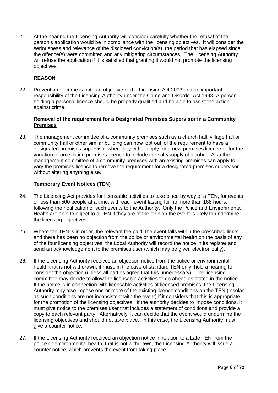21. At the hearing the Licensing Authority will consider carefully whether the refusal of the person's application would be in compliance with the licensing objectives. It will consider the seriousness and relevance of the disclosed conviction(s), the period that has elapsed since the offence(s) were committed and any mitigating circumstances. The Licensing Authority will refuse the application if it is satisfied that granting it would not promote the licensing objectives.

## **REASON**

22. Prevention of crime is both an objective of the Licensing Act 2003 and an important responsibility of the Licensing Authority under the Crime and Disorder Act 1998. A person holding a personal licence should be properly qualified and be able to assist the action against crime.

#### **Removal of the requirement for a Designated Premises Supervisor in a Community Premises**

23. The management committee of a community premises such as a church hall, village hall or community hall or other similar building can now 'opt out' of the requirement to have a designated premises supervisor when they either apply for a new premises licence or for the variation of an existing premises licence to include the sale/supply of alcohol. Also the management committee of a community premises with an existing premises can apply to vary the premises licence to remove the requirement for a designated premises supervisor without altering anything else.

#### **Temporary Event Notices (TEN)**

- 24. The Licensing Act provides for licensable activities to take place by way of a TEN, for events of less than 500 people at a time, with each event lasting for no more than 168 hours, following the notification of such events to the Authority. Only the Police and Environmental Health are able to object to a TEN if they are of the opinion the event is likely to undermine the licensing objectives.
- 25. Where the TEN is in order, the relevant fee paid, the event falls within the prescribed limits and there has been no objection from the police or environmental health on the basis of any of the four licensing objectives, the Local Authority will record the notice in its register and send an acknowledgement to the premises user (which may be given electronically).
- 26. If the Licensing Authority receives an objection notice from the police or environmental health that is not withdrawn, it must, in the case of standard TEN only, hold a hearing to consider the objection (unless all parties agree that this unnecessary). The licensing committee may decide to allow the licensable activities to go ahead as stated in the notice. If the notice is in connection with licensable activities at licensed premises, the Licensing Authority may also impose one or more of the existing licence conditions on the TEN (insofar as such conditions are not inconsistent with the event) if it considers that this is appropriate for the promotion of the licensing objectives. If the authority decides to impose conditions, it must give notice to the premises user that includes a statement of conditions and provide a copy to each relevant party. Alternatively, it can decide that the event would undermine the licensing objectives and should not take place. In this case, the Licensing Authority must give a counter notice.
- 27. If the Licensing Authority received an objection notice in relation to a Late TEN from the police or environmental health, that is not withdrawn, the Licensing Authority will issue a counter notice, which prevents the event from taking place.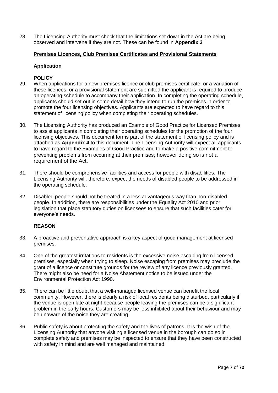28. The Licensing Authority must check that the limitations set down in the Act are being observed and intervene if they are not. These can be found in **Appendix 3**

#### **Premises Licences, Club Premises Certificates and Provisional Statements**

#### **Application**

## **POLICY**

- 29. When applications for a new premises licence or club premises certificate, or a variation of these licences, or a provisional statement are submitted the applicant is required to produce an operating schedule to accompany their application. In completing the operating schedule, applicants should set out in some detail how they intend to run the premises in order to promote the four licensing objectives. Applicants are expected to have regard to this statement of licensing policy when completing their operating schedules.
- 30. The Licensing Authority has produced an Example of Good Practice for Licensed Premises to assist applicants in completing their operating schedules for the promotion of the four licensing objectives. This document forms part of the statement of licensing policy and is attached as **Appendix 4** to this document. The Licensing Authority will expect all applicants to have regard to the Examples of Good Practice and to make a positive commitment to preventing problems from occurring at their premises; however doing so is not a requirement of the Act.
- 31. There should be comprehensive facilities and access for people with disabilities. The Licensing Authority will, therefore, expect the needs of disabled people to be addressed in the operating schedule.
- 32. Disabled people should not be treated in a less advantageous way than non-disabled people. In addition, there are responsibilities under the Equality Act 2010 and prior legislation that place statutory duties on licensees to ensure that such facilities cater for everyone's needs.

#### **REASON**

- 33. A proactive and preventative approach is a key aspect of good management at licensed premises.
- 34. One of the greatest irritations to residents is the excessive noise escaping from licensed premises, especially when trying to sleep. Noise escaping from premises may preclude the grant of a licence or constitute grounds for the review of any licence previously granted. There might also be need for a Noise Abatement notice to be issued under the Environmental Protection Act 1990.
- 35. There can be little doubt that a well-managed licensed venue can benefit the local community. However, there is clearly a risk of local residents being disturbed, particularly if the venue is open late at night because people leaving the premises can be a significant problem in the early hours. Customers may be less inhibited about their behaviour and may be unaware of the noise they are creating.
- 36. Public safety is about protecting the safety and the lives of patrons. It is the wish of the Licensing Authority that anyone visiting a licensed venue in the borough can do so in complete safety and premises may be inspected to ensure that they have been constructed with safety in mind and are well managed and maintained.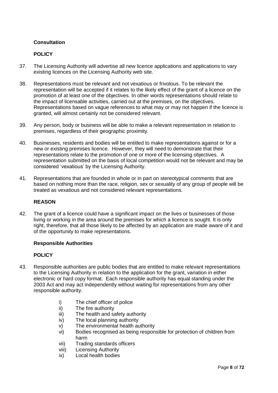## **Consultation**

## **POLICY**

- 37. The Licensing Authority will advertise all new licence applications and applications to vary existing licences on the Licensing Authority web site.
- 38. Representations must be relevant and not vexatious or frivolous. To be relevant the representation will be accepted if it relates to the likely effect of the grant of a licence on the promotion of at least one of the objectives. In other words representations should relate to the impact of licensable activities, carried out at the premises, on the objectives. Representations based on vague references to what may or may not happen if the licence is granted, will almost certainly not be considered relevant.
- 39. Any person, body or business will be able to make a relevant representation in relation to premises, regardless of their geographic proximity.
- 40. Businesses, residents and bodies will be entitled to make representations against or for a new or existing premises licence. However, they will need to demonstrate that their representations relate to the promotion of one or more of the licensing objectives. A representation submitted on the basis of local competition would not be relevant and may be considered 'vexatious' by the Licensing Authority.
- 41. Representations that are founded in whole or in part on stereotypical comments that are based on nothing more than the race, religion, sex or sexuality of any group of people will be treated as vexatious and not considered relevant representations.

## **REASON**

42. The grant of a licence could have a significant impact on the lives or businesses of those living or working in the area around the premises for which a licence is sought. It is only right, therefore, that all those likely to be affected by an application are made aware of it and of the opportunity to make representations.

## **Responsible Authorities**

- 43. Responsible authorities are public bodies that are entitled to make relevant representations to the Licensing Authority in relation to the application for the grant, variation in either electronic or hard copy format. Each responsible authority has equal standing under the 2003 Act and may act independently without waiting for representations from any other responsible authority.
	- i) The chief officer of police
	- ii) The fire authority
	- iii) The health and safety authority
	- iv) The local planning authority
	- v) The environmental health authority
	- vi) Bodies recognised as being responsible for protection of children from harm
	- vii) Trading standards officers
	- viii) Licensing Authority
	- ix) Local health bodies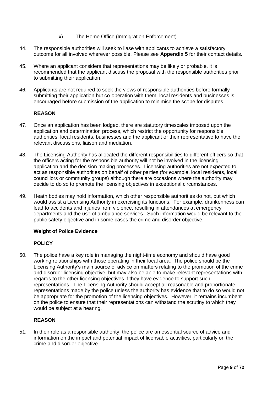- x) The Home Office (Immigration Enforcement)
- 44. The responsible authorities will seek to liase with applicants to achieve a satisfactory outcome for all involved wherever possible. Please see **Appendix 5** for their contact details.
- 45. Where an applicant considers that representations may be likely or probable, it is recommended that the applicant discuss the proposal with the responsible authorities prior to submitting their application.
- 46. Applicants are not required to seek the views of responsible authorities before formally submitting their application but co-operation with them, local residents and businesses is encouraged before submission of the application to minimise the scope for disputes.

- 47. Once an application has been lodged, there are statutory timescales imposed upon the application and determination process, which restrict the opportunity for responsible authorities, local residents, businesses and the applicant or their representative to have the relevant discussions, liaison and mediation.
- 48. The Licensing Authority has allocated the different responsibilities to different officers so that the officers acting for the responsible authority will not be involved in the licensing application and the decision making processes. Licensing authorities are not expected to act as responsible authorities on behalf of other parties (for example, local residents, local councillors or community groups) although there are occasions where the authority may decide to do so to promote the licensing objectives in exceptional circumstances.
- 49. Heath bodies may hold information, which other responsible authorities do not, but which would assist a Licensing Authority in exercising its functions. For example, drunkenness can lead to accidents and injuries from violence, resulting in attendances at emergency departments and the use of ambulance services. Such information would be relevant to the public safety objective and in some cases the crime and disorder objective.

#### **Weight of Police Evidence**

## **POLICY**

50. The police have a key role in managing the night-time economy and should have good working relationships with those operating in their local area. The police should be the Licensing Authority's main source of advice on matters relating to the promotion of the crime and disorder licensing objective, but may also be able to make relevant representations with regards to the other licensing objectives if they have evidence to support such representations. The Licensing Authority should accept all reasonable and proportionate representations made by the police unless the authority has evidence that to do so would not be appropriate for the promotion of the licensing objectives. However, it remains incumbent on the police to ensure that their representations can withstand the scrutiny to which they would be subject at a hearing.

#### **REASON**

51. In their role as a responsible authority, the police are an essential source of advice and information on the impact and potential impact of licensable activities, particularly on the crime and disorder objective.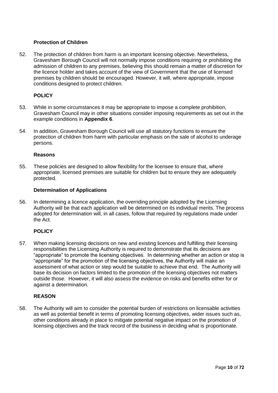## **Protection of Children**

52. The protection of children from harm is an important licensing objective. Nevertheless, Gravesham Borough Council will not normally impose conditions requiring or prohibiting the admission of children to any premises, believing this should remain a matter of discretion for the licence holder and takes account of the view of Government that the use of licensed premises by children should be encouraged. However, it will, where appropriate, impose conditions designed to protect children.

## **POLICY**

- 53. While in some circumstances it may be appropriate to impose a complete prohibition, Gravesham Council may in other situations consider imposing requirements as set out in the example conditions in **Appendix 6**.
- 54. In addition, Gravesham Borough Council will use all statutory functions to ensure the protection of children from harm with particular emphasis on the sale of alcohol to underage persons.

#### **Reasons**

55. These policies are designed to allow flexibility for the licensee to ensure that, where appropriate, licensed premises are suitable for children but to ensure they are adequately protected.

## **Determination of Applications**

56. In determining a licence application, the overriding principle adopted by the Licensing Authority will be that each application will be determined on its individual merits. The process adopted for determination will, in all cases, follow that required by regulations made under the Act.

## **POLICY**

57. When making licensing decisions on new and existing licences and fulfilling their licensing responsibilities the Licensing Authority is required to demonstrate that its decisions are "appropriate" to promote the licensing objectives. In determining whether an action or stop is "appropriate" for the promotion of the licensing objectives, the Authority will make an assessment of what action or step would be suitable to achieve that end. The Authority will base its decision on factors limited to the promotion of the licensing objectives not matters outside those. However, it will also assess the evidence on risks and benefits either for or against a determination.

## **REASON**

58. The Authority will aim to consider the potential burden of restrictions on licensable activities as well as potential benefit in terms of promoting licensing objectives, wider issues such as, other conditions already in place to mitigate potential negative impact on the promotion of licensing objectives and the track record of the business in deciding what is proportionate.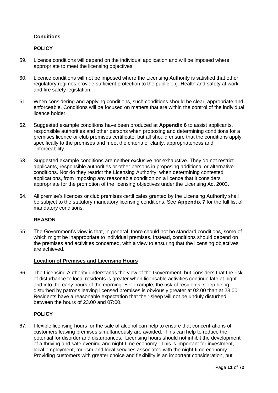## **Conditions**

## **POLICY**

- 59. Licence conditions will depend on the individual application and will be imposed where appropriate to meet the licensing objectives.
- 60. Licence conditions will not be imposed where the Licensing Authority is satisfied that other regulatory regimes provide sufficient protection to the public e.g. Health and safety at work and fire safety legislation.
- 61. When considering and applying conditions, such conditions should be clear, appropriate and enforceable. Conditions will be focused on matters that are within the control of the individual licence holder.
- 62. Suggested example conditions have been produced at **Appendix 6** to assist applicants, responsible authorities and other persons when proposing and determining conditions for a premises licence or club premises certificate, but all should ensure that the conditions apply specifically to the premises and meet the criteria of clarity, appropriateness and enforceability.
- 63. Suggested example conditions are neither exclusive nor exhaustive. They do not restrict applicants, responsible authorities or other persons in proposing additional or alternative conditions. Nor do they restrict the Licensing Authority, when determining contested applications, from imposing any reasonable condition on a licence that it considers appropriate for the promotion of the licensing objectives under the Licensing Act 2003.
- 64. All premise's licences or club premises certificates granted by the Licensing Authority shall be subject to the statutory mandatory licensing conditions. See **Appendix 7** for the full list of mandatory conditions.

## **REASON**

65. The Government's view is that, in general, there should not be standard conditions, some of which might be inappropriate to individual premises. Instead, conditions should depend on the premises and activities concerned, with a view to ensuring that the licensing objectives are achieved.

## **Location of Premises and Licensing Hours**

66. The Licensing Authority understands the view of the Government, but considers that the risk of disturbance to local residents is greater when licensable activities continue late at night and into the early hours of the morning. For example, the risk of residents' sleep being disturbed by patrons leaving licensed premises is obviously greater at 02.00 than at 23.00. Residents have a reasonable expectation that their sleep will not be unduly disturbed between the hours of 23.00 and 07:00.

## **POLICY**

67. Flexible licensing hours for the sale of alcohol can help to ensure that concentrations of customers leaving premises simultaneously are avoided. This can help to reduce the potential for disorder and disturbances. Licensing hours should not inhibit the development of a thriving and safe evening and night-time economy. This is important for investment, local employment, tourism and local services associated with the night-time economy. Providing customers with greater choice and flexibility is an important consideration, but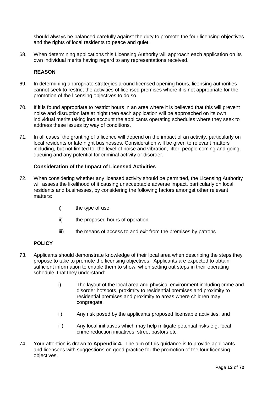should always be balanced carefully against the duty to promote the four licensing objectives and the rights of local residents to peace and quiet.

68. When determining applications this Licensing Authority will approach each application on its own individual merits having regard to any representations received.

#### **REASON**

- 69. In determining appropriate strategies around licensed opening hours, licensing authorities cannot seek to restrict the activities of licensed premises where it is not appropriate for the promotion of the licensing objectives to do so.
- 70. If it is found appropriate to restrict hours in an area where it is believed that this will prevent noise and disruption late at night then each application will be approached on its own individual merits taking into account the applicants operating schedules where they seek to address these issues by way of conditions.
- 71. In all cases, the granting of a licence will depend on the impact of an activity, particularly on local residents or late night businesses. Consideration will be given to relevant matters including, but not limited to, the level of noise and vibration, litter, people coming and going, queuing and any potential for criminal activity or disorder.

## **Consideration of the Impact of Licensed Activities**

- 72. When considering whether any licensed activity should be permitted, the Licensing Authority will assess the likelihood of it causing unacceptable adverse impact, particularly on local residents and businesses, by considering the following factors amongst other relevant matters:
	- i) the type of use
	- ii) the proposed hours of operation
	- iii) the means of access to and exit from the premises by patrons

- 73. Applicants should demonstrate knowledge of their local area when describing the steps they propose to take to promote the licensing objectives. Applicants are expected to obtain sufficient information to enable them to show, when setting out steps in their operating schedule, that they understand:
	- i) The layout of the local area and physical environment including crime and disorder hotspots, proximity to residential premises and proximity to residential premises and proximity to areas where children may congregate.
	- ii) Any risk posed by the applicants proposed licensable activities, and
	- iii) Any local initiatives which may help mitigate potential risks e.g. local crime reduction initiatives, street pastors etc.
- 74. Your attention is drawn to **Appendix 4.** The aim of this guidance is to provide applicants and licensees with suggestions on good practice for the promotion of the four licensing objectives.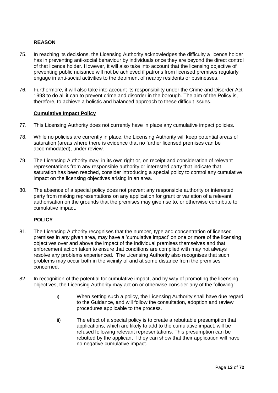- 75. In reaching its decisions, the Licensing Authority acknowledges the difficulty a licence holder has in preventing anti-social behaviour by individuals once they are beyond the direct control of that licence holder. However, it will also take into account that the licensing objective of preventing public nuisance will not be achieved if patrons from licensed premises regularly engage in anti-social activities to the detriment of nearby residents or businesses.
- 76. Furthermore, it will also take into account its responsibility under the Crime and Disorder Act 1998 to do all it can to prevent crime and disorder in the borough. The aim of the Policy is, therefore, to achieve a holistic and balanced approach to these difficult issues.

#### **Cumulative Impact Policy**

- 77. This Licensing Authority does not currently have in place any cumulative impact policies.
- 78. While no policies are currently in place, the Licensing Authority will keep potential areas of saturation (areas where there is evidence that no further licensed premises can be accommodated), under review.
- 79. The Licensing Authority may, in its own right or, on receipt and consideration of relevant representations from any responsible authority or interested party that indicate that saturation has been reached, consider introducing a special policy to control any cumulative impact on the licensing objectives arising in an area.
- 80. The absence of a special policy does not prevent any responsible authority or interested party from making representations on any application for grant or variation of a relevant authorisation on the grounds that the premises may give rise to, or otherwise contribute to cumulative impact.

- 81. The Licensing Authority recognises that the number, type and concentration of licensed premises in any given area, may have a 'cumulative impact' on one or more of the licensing objectives over and above the impact of the individual premises themselves and that enforcement action taken to ensure that conditions are complied with may not always resolve any problems experienced. The Licensing Authority also recognises that such problems may occur both in the vicinity of and at some distance from the premises concerned.
- 82. In recognition of the potential for cumulative impact, and by way of promoting the licensing objectives, the Licensing Authority may act on or otherwise consider any of the following:
	- i) When setting such a policy, the Licensing Authority shall have due regard to the Guidance, and will follow the consultation, adoption and review procedures applicable to the process.
	- ii) The effect of a special policy is to create a rebuttable presumption that applications, which are likely to add to the cumulative impact, will be refused following relevant representations. This presumption can be rebutted by the applicant if they can show that their application will have no negative cumulative impact.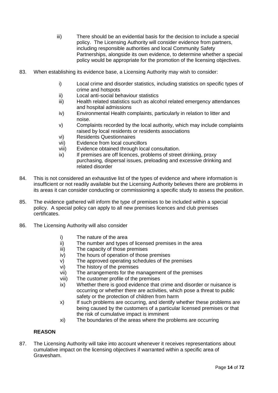- iii) There should be an evidential basis for the decision to include a special policy. The Licensing Authority will consider evidence from partners, including responsible authorities and local Community Safety Partnerships, alongside its own evidence, to determine whether a special policy would be appropriate for the promotion of the licensing objectives.
- 83. When establishing its evidence base, a Licensing Authority may wish to consider:
	- i) Local crime and disorder statistics, including statistics on specific types of crime and hotspots
	- ii) Local anti-social behaviour statistics
	- iii) Health related statistics such as alcohol related emergency attendances and hospital admissions
	- iv) Environmental Health complaints, particularly in relation to litter and noise.
	- v) Complaints recorded by the local authority, which may include complaints raised by local residents or residents associations
	- vi) Residents Questionnaires
	- vii) Evidence from local councillors
	- viii) Evidence obtained through local consultation.
	- ix) If premises are off licences, problems of street drinking, proxy purchasing, dispersal issues, preloading and excessive drinking and related disorder
- 84. This is not considered an exhaustive list of the types of evidence and where information is insufficient or not readily available but the Licensing Authority believes there are problems in its areas it can consider conducting or commissioning a specific study to assess the position.
- 85. The evidence gathered will inform the type of premises to be included within a special policy. A special policy can apply to all new premises licences and club premises certificates.
- 86. The Licensing Authority will also consider
	- i) The nature of the area<br>ii) The number and types
	- The number and types of licensed premises in the area
	- iii) The capacity of those premises
	- iv) The hours of operation of those premises
	- v) The approved operating schedules of the premises
	- vi) The history of the premises
	- vii) The arrangements for the management of the premises
	- viii) The customer profile of the premises
	- ix) Whether there is good evidence that crime and disorder or nuisance is occurring or whether there are activities, which pose a threat to public safety or the protection of children from harm
	- x) If such problems are occurring, and identify whether these problems are being caused by the customers of a particular licensed premises or that the risk of cumulative impact is imminent
	- xi) The boundaries of the areas where the problems are occurring

87. The Licensing Authority will take into account whenever it receives representations about cumulative impact on the licensing objectives if warranted within a specific area of Gravesham.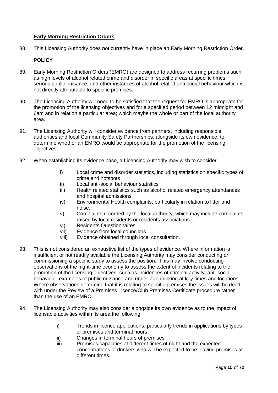## **Early Morning Restriction Orders**

88. This Licensing Authority does not currently have in place an Early Morning Restriction Order.

- 89. Early Morning Restriction Orders (EMRO) are designed to address recurring problems such as high levels of alcohol related crime and disorder in specific areas at specific times; serious public nuisance; and other instances of alcohol related anti-social behaviour which is not directly attributable to specific premises.
- 90. The Licensing Authority will need to be satisfied that the request for EMRO is appropriate for the promotion of the licensing objectives and for a specified period between 12 midnight and 6am and in relation a particular area; which maybe the whole or part of the local authority area.
- 91. The Licensing Authority will consider evidence from partners, including responsible authorities and local Community Safety Partnerships, alongside its own evidence, to determine whether an EMRO would be appropriate for the promotion of the licensing objectives.
- 92. When establishing its evidence base, a Licensing Authority may wish to consider
	- i) Local crime and disorder statistics, including statistics on specific types of crime and hotspots
	- ii) Local anti-social behaviour statistics
	- iii) Health related statistics such as alcohol related emergency attendances and hospital admissions
	- iv) Environmental Health complaints, particularly in relation to litter and noise.
	- v) Complaints recorded by the local authority, which may include complaints raised by local residents or residents associations
	- vi) Residents Questionnaires
	- vii) Evidence from local councilors
	- viii) Evidence obtained through local consultation.
- 93. This is not considered an exhaustive list of the types of evidence. Where information is insufficient or not readily available the Licensing Authority may consider conducting or commissioning a specific study to assess the position. This may involve conducting observations of the night-time economy to assess the extent of incidents relating to the promotion of the licensing objectives, such as incidences of criminal activity, anti-social behaviour, examples of public nuisance and under-age drinking at key times and locations. Where observations determine that it is relating to specific premises the issues will be dealt with under the Review of a Premises Licence/Club Premises Certificate procedure rather than the use of an EMRO.
- 94. The Licensing Authority may also consider alongside its own evidence as to the impact of licensable activities within its area the following:
	- i) Trends in licence applications, particularly trends in applications by types of premises and terminal hours
	- ii) Changes in terminal hours of premises
	- iii) Premises capacities at different times of night and the expected concentrations of drinkers who will be expected to be leaving premises at different times.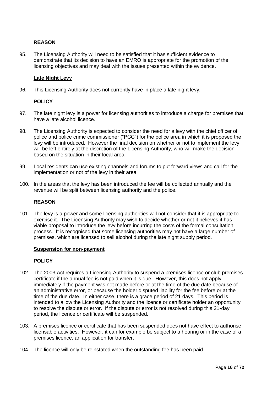95. The Licensing Authority will need to be satisfied that it has sufficient evidence to demonstrate that its decision to have an EMRO is appropriate for the promotion of the licensing objectives and may deal with the issues presented within the evidence.

#### **Late Night Levy**

96. This Licensing Authority does not currently have in place a late night levy.

## **POLICY**

- 97. The late night levy is a power for licensing authorities to introduce a charge for premises that have a late alcohol licence.
- 98. The Licensing Authority is expected to consider the need for a levy with the chief officer of police and police crime commissioner ("PCC") for the police area in which it is proposed the levy will be introduced. However the final decision on whether or not to implement the levy will be left entirely at the discretion of the Licensing Authority, who will make the decision based on the situation in their local area.
- 99. Local residents can use existing channels and forums to put forward views and call for the implementation or not of the levy in their area.
- 100. In the areas that the levy has been introduced the fee will be collected annually and the revenue will be split between licensing authority and the police.

## **REASON**

101. The levy is a power and some licensing authorities will not consider that it is appropriate to exercise it. The Licensing Authority may wish to decide whether or not it believes it has viable proposal to introduce the levy before incurring the costs of the formal consultation process. It is recognised that some licensing authorities may not have a large number of premises, which are licensed to sell alcohol during the late night supply period.

#### **Suspension for non-payment**

- 102. The 2003 Act requires a Licensing Authority to suspend a premises licence or club premises certificate if the annual fee is not paid when it is due. However, this does not apply immediately if the payment was not made before or at the time of the due date because of an administrative error, or because the holder disputed liability for the fee before or at the time of the due date. In either case, there is a grace period of 21 days. This period is intended to allow the Licensing Authority and the licence or certificate holder an opportunity to resolve the dispute or error. If the dispute or error is not resolved during this 21-day period, the licence or certificate will be suspended.
- 103. A premises licence or certificate that has been suspended does not have effect to authorise licensable activities. However, it can for example be subject to a hearing or in the case of a premises licence, an application for transfer.
- 104. The licence will only be reinstated when the outstanding fee has been paid.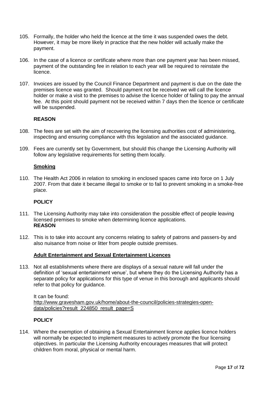- 105. Formally, the holder who held the licence at the time it was suspended owes the debt. However, it may be more likely in practice that the new holder will actually make the payment.
- 106. In the case of a licence or certificate where more than one payment year has been missed, payment of the outstanding fee in relation to each year will be required to reinstate the licence.
- 107. Invoices are issued by the Council Finance Department and payment is due on the date the premises licence was granted. Should payment not be received we will call the licence holder or make a visit to the premises to advise the licence holder of failing to pay the annual fee. At this point should payment not be received within 7 days then the licence or certificate will be suspended.

- 108. The fees are set with the aim of recovering the licensing authorities cost of administering, inspecting and ensuring compliance with this legislation and the associated guidance.
- 109. Fees are currently set by Government, but should this change the Licensing Authority will follow any legislative requirements for setting them locally.

## **Smoking**

110. The Health Act 2006 in relation to smoking in enclosed spaces came into force on 1 July 2007. From that date it became illegal to smoke or to fail to prevent smoking in a smoke-free place.

## **POLICY**

- 111. The Licensing Authority may take into consideration the possible effect of people leaving licensed premises to smoke when determining licence applications. **REASON**
- 112. This is to take into account any concerns relating to safety of patrons and passers-by and also nuisance from noise or litter from people outside premises.

#### **Adult Entertainment and Sexual Entertainment Licences**

113. Not all establishments where there are displays of a sexual nature will fall under the definition of 'sexual entertainment venue', but where they do the Licensing Authority has a separate policy for applications for this type of venue in this borough and applicants should refer to that policy for guidance.

It can be found: [http://www.gravesham.gov.uk/home/about-the-council/policies-strategies-open](http://www.gravesham.gov.uk/home/about-the-council/policies-strategies-open-data/policies?result_224850_result_page=S)[data/policies?result\\_224850\\_result\\_page=S](http://www.gravesham.gov.uk/home/about-the-council/policies-strategies-open-data/policies?result_224850_result_page=S)

#### **POLICY**

114. Where the exemption of obtaining a Sexual Entertainment licence applies licence holders will normally be expected to implement measures to actively promote the four licensing objectives. In particular the Licensing Authority encourages measures that will protect children from moral, physical or mental harm.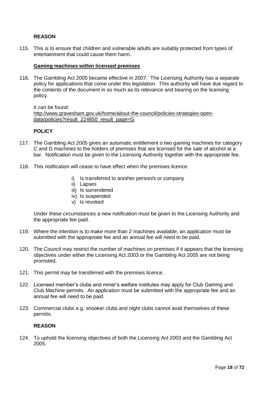115. This is to ensure that children and vulnerable adults are suitably protected from types of entertainment that could cause them harm.

#### **Gaming machines within licensed premises**

116. The Gambling Act 2005 became effective in 2007. The Licensing Authority has a separate policy for applications that come under this legislation. This authority will have due regard to the contents of the document in so much as its relevance and bearing on the licensing policy.

#### It can be found: [http://www.gravesham.gov.uk/home/about-the-council/policies-strategies-open](http://www.gravesham.gov.uk/home/about-the-council/policies-strategies-open-data/policies?result_224850_result_page=G)[data/policies?result\\_224850\\_result\\_page=G](http://www.gravesham.gov.uk/home/about-the-council/policies-strategies-open-data/policies?result_224850_result_page=G)

## **POLICY**

- 117. The Gambling Act 2005 gives an automatic entitlement o two gaming machines for category C and D machines to the holders of premises that are licensed for the sale of alcohol at a bar. Notification must be given to the Licensing Authority together with the appropriate fee.
- 118. This notification will cease to have effect when the premises licence:
	- i) Is transferred to another person/s or company
	- ii) Lapses
	- iii) Is surrendered
	- iv) Is suspended
	- v) Is revoked

Under these circumstances a new notification must be given to the Licensing Authority and the appropriate fee paid.

- 119. Where the intention is to make more than 2 machines available, an application must be submitted with the appropriate fee and an annual fee will need to be paid.
- 120. The Council may restrict the number of machines on premises if it appears that the licensing objectives under either the Licensing Act 2003 or the Gambling Act 2005 are not being promoted.
- 121. This permit may be transferred with the premises licence.
- 122. Licensed member's clubs and miner's welfare institutes may apply for Club Gaming and Club Machine permits. An application must be submitted with the appropriate fee and an annual fee will need to be paid.
- 123. Commercial clubs e.g. snooker clubs and night clubs cannot avail themselves of these permits.

#### **REASON**

124. To uphold the licensing objectives of both the Licensing Act 2003 and the Gambling Act 2005.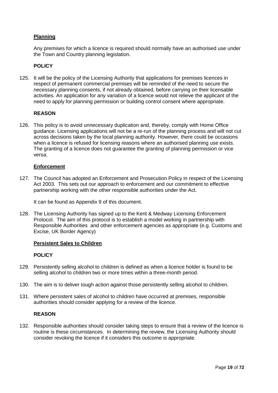## **Planning**

Any premises for which a licence is required should normally have an authorised use under the Town and Country planning legislation.

## **POLICY**

125. It will be the policy of the Licensing Authority that applications for premises licences in respect of permanent commercial premises will be reminded of the need to secure the necessary planning consents, if not already obtained, before carrying on their licensable activities. An application for any variation of a licence would not relieve the applicant of the need to apply for planning permission or building control consent where appropriate.

#### **REASON**

126. This policy is to avoid unnecessary duplication and, thereby, comply with Home Office guidance. Licensing applications will not be a re-run of the planning process and will not cut across decisions taken by the local planning authority. However, there could be occasions when a licence is refused for licensing reasons where an authorised planning use exists. The granting of a licence does not guarantee the granting of planning permission or vice versa.

#### **Enforcement**

127. The Council has adopted an Enforcement and Prosecution Policy in respect of the Licensing Act 2003. This sets out our approach to enforcement and our commitment to effective partnership working with the other responsible authorities under the Act.

It can be found as Appendix 9 of this document.

128. The Licensing Authority has signed up to the Kent & Medway Licensing Enforcement Protocol. The aim of this protocol is to establish a model working in partnership with Responsible Authorities and other enforcement agencies as appropriate (e.g. Customs and Excise, UK Border Agency)

#### **Persistent Sales to Children**

#### **POLICY**

- 129. Persistently selling alcohol to children is defined as when a licence holder is found to be selling alcohol to children two or more times within a three-month period.
- 130. The aim is to deliver tough action against those persistently selling alcohol to children.
- 131. Where persistent sales of alcohol to children have occurred at premises, responsible authorities should consider applying for a review of the licence.

#### **REASON**

132. Responsible authorities should consider taking steps to ensure that a review of the licence is routine is these circumstances. In determining the review, the Licensing Authority should consider revoking the licence if it considers this outcome is appropriate.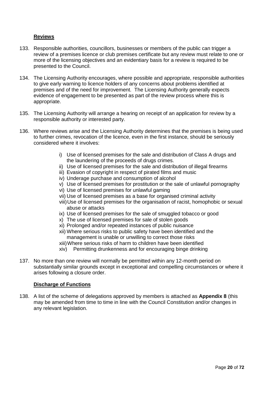## **Reviews**

- 133. Responsible authorities, councillors, businesses or members of the public can trigger a review of a premises licence or club premises certificate but any review must relate to one or more of the licensing objectives and an evidentiary basis for a review is required to be presented to the Council.
- 134. The Licensing Authority encourages, where possible and appropriate, responsible authorities to give early warning to licence holders of any concerns about problems identified at premises and of the need for improvement. The Licensing Authority generally expects evidence of engagement to be presented as part of the review process where this is appropriate.
- 135. The Licensing Authority will arrange a hearing on receipt of an application for review by a responsible authority or interested party.
- 136. Where reviews arise and the Licensing Authority determines that the premises is being used to further crimes, revocation of the licence, even in the first instance, should be seriously considered where it involves:
	- i) Use of licensed premises for the sale and distribution of Class A drugs and the laundering of the proceeds of drugs crimes.
	- ii) Use of licensed premises for the sale and distribution of illegal firearms
	- iii) Evasion of copyright in respect of pirated films and music
	- iv) Underage purchase and consumption of alcohol
	- v) Use of licensed premises for prostitution or the sale of unlawful pornography
	- vi) Use of licensed premises for unlawful gaming
	- vii) Use of licensed premises as a base for organised criminal activity
	- viii)Use of licensed premises for the organisation of racist, homophobic or sexual abuse or attacks
	- ix) Use of licensed premises for the sale of smuggled tobacco or good
	- x) The use of licensed premises for sale of stolen goods
	- xi) Prolonged and/or repeated instances of public nuisance
	- xii) Where serious risks to public safety have been identified and the management is unable or unwilling to correct those risks
	- xiii)Where serious risks of harm to children have been identified
	- xiv) Permitting drunkenness and for encouraging binge drinking
- 137. No more than one review will normally be permitted within any 12-month period on substantially similar grounds except in exceptional and compelling circumstances or where it arises following a closure order.

#### **Discharge of Functions**

138. A list of the scheme of delegations approved by members is attached as **Appendix 8** (this may be amended from time to time in line with the Council Constitution and/or changes in any relevant legislation.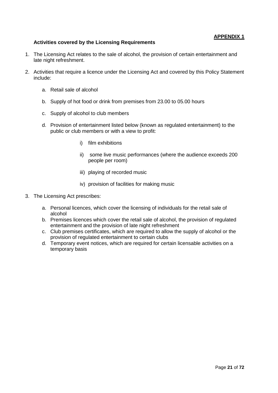## **Activities covered by the Licensing Requirements**

- 1. The Licensing Act relates to the sale of alcohol, the provision of certain entertainment and late night refreshment.
- 2. Activities that require a licence under the Licensing Act and covered by this Policy Statement include:
	- a. Retail sale of alcohol
	- b. Supply of hot food or drink from premises from 23.00 to 05.00 hours
	- c. Supply of alcohol to club members
	- d. Provision of entertainment listed below (known as regulated entertainment) to the public or club members or with a view to profit:
		- i) film exhibitions
		- ii) some live music performances (where the audience exceeds 200 people per room)
		- iii) playing of recorded music
		- iv) provision of facilities for making music
- 3. The Licensing Act prescribes:
	- a. Personal licences, which cover the licensing of individuals for the retail sale of alcohol
	- b. Premises licences which cover the retail sale of alcohol, the provision of regulated entertainment and the provision of late night refreshment
	- c. Club premises certificates, which are required to allow the supply of alcohol or the provision of regulated entertainment to certain clubs
	- d. Temporary event notices, which are required for certain licensable activities on a temporary basis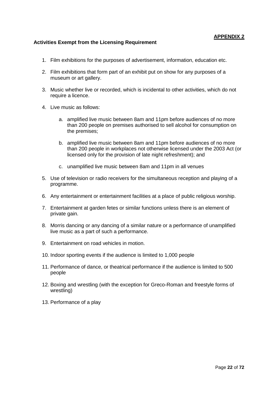#### **Activities Exempt from the Licensing Requirement**

- 1. Film exhibitions for the purposes of advertisement, information, education etc.
- 2. Film exhibitions that form part of an exhibit put on show for any purposes of a museum or art gallery.
- 3. Music whether live or recorded, which is incidental to other activities, which do not require a licence.
- 4. Live music as follows:
	- a. amplified live music between 8am and 11pm before audiences of no more than 200 people on premises authorised to sell alcohol for consumption on the premises;
	- b. amplified live music between 8am and 11pm before audiences of no more than 200 people in workplaces not otherwise licensed under the 2003 Act (or licensed only for the provision of late night refreshment); and
	- c. unamplified live music between 8am and 11pm in all venues
- 5. Use of television or radio receivers for the simultaneous reception and playing of a programme.
- 6. Any entertainment or entertainment facilities at a place of public religious worship.
- 7. Entertainment at garden fetes or similar functions unless there is an element of private gain.
- 8. Morris dancing or any dancing of a similar nature or a performance of unamplified live music as a part of such a performance.
- 9. Entertainment on road vehicles in motion.
- 10. Indoor sporting events if the audience is limited to 1,000 people
- 11. Performance of dance, or theatrical performance if the audience is limited to 500 people
- 12. Boxing and wrestling (with the exception for Greco-Roman and freestyle forms of wrestling)
- 13. Performance of a play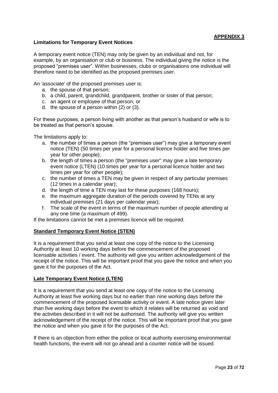#### **Limitations for Temporary Event Notices**

A temporary event notice (TEN) may only be given by an individual and not, for example, by an organisation or club or business. The individual giving the notice is the proposed "premises user". Within businesses, clubs or organisations one individual will therefore need to be identified as the proposed premises user.

An 'associate' of the proposed premises user is:

- a. the spouse of that person;
- b. a child, parent, grandchild, grandparent, brother or sister of that person;
- c. an agent or employee of that person; or
- d. the spouse of a person within (2) or (3).

For these purposes, a person living with another as that person's husband or wife is to be treated as that person's spouse.

The limitations apply to:

- a. the number of times a person (the "premises user") may give a temporary event notice (TEN) (50 times per year for a personal licence holder and five times per year for other people);
- b. the length of times a person (the "premises user" may give a late temporary event notice (LTEN) (10 times per year for a personal licence holder and two times per year for other people);
- c. the number of times a TEN may be given in respect of any particular premises (12 times in a calendar year);
- d. the length of time a TEN may last for these purposes (168 hours);
- e. the maximum aggregate duration of the periods covered by TENs at any individual premises (21 days per calendar year);
- f. The scale of the event in terms of the maximum number of people attending at any one time (a maximum of 499).

If the limitations cannot be met a premises licence will be required.

#### **Standard Temporary Event Notice (STEN)**

It is a requirement that you send at least one copy of the notice to the Licensing Authority at least 10 working days before the commencement of the proposed licensable activities / event. The authority will give you written acknowledgement of the receipt of the notice. This will be important proof that you gave the notice and when you gave it for the purposes of the Act.

#### **Late Temporary Event Notice (LTEN)**

It is a requirement that you send at least one copy of the notice to the Licensing Authority at least five working days but no earlier than nine working days before the commencement of the proposed licensable activity or event. A late notice given later than five working days before the event to which it relates will be returned as void and the activities described in it will not be authorised. The authority will give you written acknowledgement of the receipt of the notice. This will be important proof that you gave the notice and when you gave it for the purposes of the Act.

If there is an objection from either the police or local authority exercising environmental health functions, the event will not go ahead and a counter notice will be issued.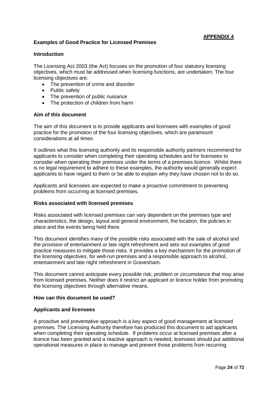#### **Examples of Good Practice for Licensed Premises**

#### **Introduction**

The Licensing Act 2003 (the Act) focuses on the promotion of four statutory licensing objectives, which must be addressed when licensing functions, are undertaken. The four licensing objectives are:

- The prevention of crime and disorder
- Public safety
- The prevention of public nuisance
- The protection of children from harm

#### **Aim of this document**

The aim of this document is to provide applicants and licensees with examples of good practice for the promotion of the four licensing objectives, which are paramount considerations at all times.

It outlines what this licensing authority and its responsible authority partners recommend for applicants to consider when completing their operating schedules and for licensees to consider when operating their premises under the terms of a premises licence. Whilst there is no legal requirement to adhere to these examples, the authority would generally expect applicants to have regard to them or be able to explain why they have chosen not to do so.

Applicants and licensees are expected to make a proactive commitment to preventing problems from occurring at licensed premises.

#### **Risks associated with licensed premises**

Risks associated with licensed premises can vary dependent on the premises type and characteristics, the design, layout and general environment, the location, the policies in place and the events being held there.

This document identifies many of the possible risks associated with the sale of alcohol and the provision of entertainment or late night refreshment and sets out examples of good practice measures to mitigate those risks. It provides a key mechanism for the promotion of the licensing objectives, for well-run premises and a responsible approach to alcohol, entertainment and late night refreshment in Gravesham.

This document cannot anticipate every possible risk, problem or circumstance that may arise from licensed premises. Neither does it restrict an applicant or licence holder from promoting the licensing objectives through alternative means.

#### **How can this document be used?**

#### **Applicants and licensees**

A proactive and preventative approach is a key aspect of good management at licensed premises. The Licensing Authority therefore has produced this document to aid applicants when completing their operating schedule. If problems occur at licensed premises after a licence has been granted and a reactive approach is needed, licensees should put additional operational measures in place to manage and prevent those problems from recurring.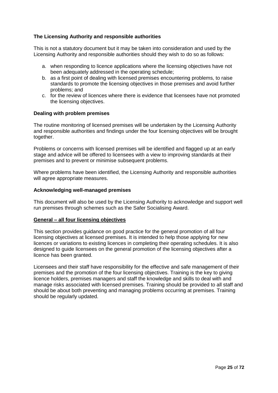## **The Licensing Authority and responsible authorities**

This is not a statutory document but it may be taken into consideration and used by the Licensing Authority and responsible authorities should they wish to do so as follows:

- a. when responding to licence applications where the licensing objectives have not been adequately addressed in the operating schedule;
- b. as a first point of dealing with licensed premises encountering problems, to raise standards to promote the licensing objectives in those premises and avoid further problems; and
- c. for the review of licences where there is evidence that licensees have not promoted the licensing objectives.

#### **Dealing with problem premises**

The routine monitoring of licensed premises will be undertaken by the Licensing Authority and responsible authorities and findings under the four licensing objectives will be brought together.

Problems or concerns with licensed premises will be identified and flagged up at an early stage and advice will be offered to licensees with a view to improving standards at their premises and to prevent or minimise subsequent problems.

Where problems have been identified, the Licensing Authority and responsible authorities will agree appropriate measures.

#### **Acknowledging well-managed premises**

This document will also be used by the Licensing Authority to acknowledge and support well run premises through schemes such as the Safer Socialising Award.

#### **General – all four licensing objectives**

This section provides guidance on good practice for the general promotion of all four licensing objectives at licensed premises. It is intended to help those applying for new licences or variations to existing licences in completing their operating schedules. It is also designed to guide licensees on the general promotion of the licensing objectives after a licence has been granted.

Licensees and their staff have responsibility for the effective and safe management of their premises and the promotion of the four licensing objectives. Training is the key to giving licence holders, premises managers and staff the knowledge and skills to deal with and manage risks associated with licensed premises. Training should be provided to all staff and should be about both preventing and managing problems occurring at premises. Training should be regularly updated.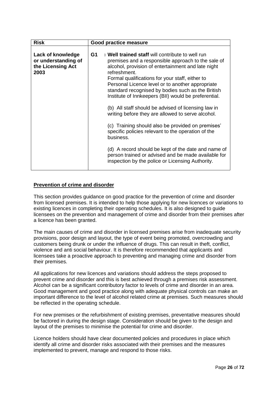| <b>Risk</b>                                                           | Good practice measure                                                                                                                                                                                                                                                                                                                                                                                                                                                                                                                                                                                                                                                                                                                                                                                      |  |  |  |
|-----------------------------------------------------------------------|------------------------------------------------------------------------------------------------------------------------------------------------------------------------------------------------------------------------------------------------------------------------------------------------------------------------------------------------------------------------------------------------------------------------------------------------------------------------------------------------------------------------------------------------------------------------------------------------------------------------------------------------------------------------------------------------------------------------------------------------------------------------------------------------------------|--|--|--|
| Lack of knowledge<br>or understanding of<br>the Licensing Act<br>2003 | G1<br>Well trained staff will contribute to well run<br>premises and a responsible approach to the sale of<br>alcohol, provision of entertainment and late night<br>refreshment.<br>Formal qualifications for your staff, either to<br>Personal Licence level or to another appropriate<br>standard recognised by bodies such as the British<br>Institute of Innkeepers (BII) would be preferential.<br>(b) All staff should be advised of licensing law in<br>writing before they are allowed to serve alcohol.<br>(c) Training should also be provided on premises'<br>specific policies relevant to the operation of the<br>business.<br>(d) A record should be kept of the date and name of<br>person trained or advised and be made available for<br>inspection by the police or Licensing Authority. |  |  |  |

## **Prevention of crime and disorder**

This section provides guidance on good practice for the prevention of crime and disorder from licensed premises. It is intended to help those applying for new licences or variations to existing licences in completing their operating schedules. It is also designed to guide licensees on the prevention and management of crime and disorder from their premises after a licence has been granted.

The main causes of crime and disorder in licensed premises arise from inadequate security provisions, poor design and layout, the type of event being promoted, overcrowding and customers being drunk or under the influence of drugs. This can result in theft, conflict, violence and anti social behaviour. It is therefore recommended that applicants and licensees take a proactive approach to preventing and managing crime and disorder from their premises.

All applications for new licences and variations should address the steps proposed to prevent crime and disorder and this is best achieved through a premises risk assessment. Alcohol can be a significant contributory factor to levels of crime and disorder in an area. Good management and good practice along with adequate physical controls can make an important difference to the level of alcohol related crime at premises. Such measures should be reflected in the operating schedule.

For new premises or the refurbishment of existing premises, preventative measures should be factored in during the design stage. Consideration should be given to the design and layout of the premises to minimise the potential for crime and disorder.

Licence holders should have clear documented policies and procedures in place which identify all crime and disorder risks associated with their premises and the measures implemented to prevent, manage and respond to those risks.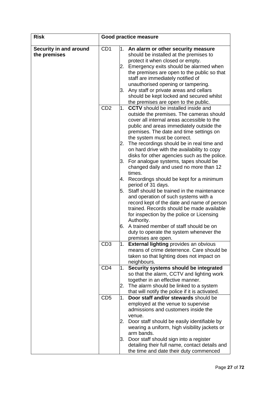| <b>Risk</b>                            | Good practice measure                   |                                                                                                                                                                                                                                                                                                                                                                                                                                                                                                                                                                                                                                                                                                                                                                                                                                                                                                             |  |
|----------------------------------------|-----------------------------------------|-------------------------------------------------------------------------------------------------------------------------------------------------------------------------------------------------------------------------------------------------------------------------------------------------------------------------------------------------------------------------------------------------------------------------------------------------------------------------------------------------------------------------------------------------------------------------------------------------------------------------------------------------------------------------------------------------------------------------------------------------------------------------------------------------------------------------------------------------------------------------------------------------------------|--|
| Security in and around<br>the premises | CD <sub>1</sub><br>2.<br>3.             | 1. An alarm or other security measure<br>should be installed at the premises to<br>protect it when closed or empty.<br>Emergency exits should be alarmed when<br>the premises are open to the public so that<br>staff are immediately notified of<br>unauthorised opening or tampering.<br>Any staff or private areas and cellars<br>should be kept locked and secured whilst<br>the premises are open to the public.                                                                                                                                                                                                                                                                                                                                                                                                                                                                                       |  |
|                                        | CD <sub>2</sub><br>1.<br>2.<br>5.<br>6. | <b>CCTV</b> should be installed inside and<br>outside the premises. The cameras should<br>cover all internal areas accessible to the<br>public and areas immediately outside the<br>premises. The date and time settings on<br>the system must be correct.<br>The recordings should be in real time and<br>on hard drive with the availability to copy<br>disks for other agencies such as the police.<br>3. For analogue systems, tapes should be<br>changed daily and used no more than 12<br>times.<br>4. Recordings should be kept for a minimum<br>period of 31 days.<br>Staff should be trained in the maintenance<br>and operation of such systems with a<br>record kept of the date and name of person<br>trained. Records should be made available<br>for inspection by the police or Licensing<br>Authority.<br>A trained member of staff should be on<br>duty to operate the system whenever the |  |
|                                        | CD3<br>1.                               | premises are open.<br><b>External lighting</b> provides an obvious<br>means of crime deterrence. Care should be<br>taken so that lighting does not impact on<br>neighbours.                                                                                                                                                                                                                                                                                                                                                                                                                                                                                                                                                                                                                                                                                                                                 |  |
|                                        | CD <sub>4</sub><br>2.                   | 1. Security systems should be integrated<br>so that the alarm, CCTV and lighting work<br>together in an effective manner.<br>The alarm should be linked to a system<br>that will notify the police if it is activated.                                                                                                                                                                                                                                                                                                                                                                                                                                                                                                                                                                                                                                                                                      |  |
|                                        | CD <sub>5</sub><br>2.<br>3.             | 1. Door staff and/or stewards should be<br>employed at the venue to supervise<br>admissions and customers inside the<br>venue.<br>Door staff should be easily identifiable by<br>wearing a uniform, high visibility jackets or<br>arm bands.<br>Door staff should sign into a register<br>detailing their full name, contact details and<br>the time and date their duty commenced                                                                                                                                                                                                                                                                                                                                                                                                                                                                                                                          |  |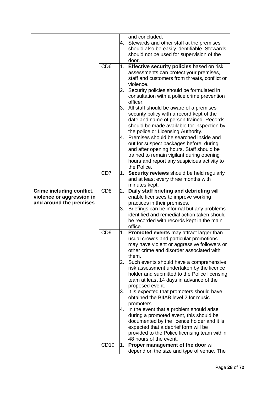|                                                      |                             | 4. | and concluded.<br>Stewards and other staff at the premises<br>should also be easily identifiable. Stewards<br>should not be used for supervision of the<br>door.                                                         |
|------------------------------------------------------|-----------------------------|----|--------------------------------------------------------------------------------------------------------------------------------------------------------------------------------------------------------------------------|
|                                                      | CD <sub>6</sub>             | 1. | Effective security policies based on risk                                                                                                                                                                                |
|                                                      |                             |    | assessments can protect your premises,<br>staff and customers from threats, conflict or<br>violence.                                                                                                                     |
|                                                      |                             | 2. | Security policies should be formulated in<br>consultation with a police crime prevention<br>officer.                                                                                                                     |
|                                                      |                             | 3. | All staff should be aware of a premises<br>security policy with a record kept of the<br>date and name of person trained. Records<br>should be made available for inspection by                                           |
|                                                      |                             |    | the police or Licensing Authority.                                                                                                                                                                                       |
|                                                      |                             | 4. | Premises should be searched inside and                                                                                                                                                                                   |
|                                                      |                             |    | out for suspect packages before, during<br>and after opening hours. Staff should be<br>trained to remain vigilant during opening<br>hours and report any suspicious activity to<br>the Police.                           |
|                                                      | CD7                         |    |                                                                                                                                                                                                                          |
|                                                      |                             | 1. | Security reviews should be held regularly<br>and at least every three months with<br>minutes kept.                                                                                                                       |
| Crime including conflict,                            | CD <sub>8</sub>             | 2. | Daily staff briefing and debriefing will                                                                                                                                                                                 |
| violence or aggression in<br>and around the premises |                             | 3. | enable licensees to improve working<br>practices in their premises.<br>Briefings can be informal but any problems<br>identified and remedial action taken should<br>be recorded with records kept in the main<br>office. |
|                                                      | C <sub>D</sub> <sub>9</sub> | 1. | Promoted events may attract larger than                                                                                                                                                                                  |
|                                                      |                             |    | usual crowds and particular promotions<br>may have violent or aggressive followers or<br>other crime and disorder associated with<br>them.                                                                               |
|                                                      |                             | 2. | Such events should have a comprehensive<br>risk assessment undertaken by the licence<br>holder and submitted to the Police licensing<br>team at least 14 days in advance of the<br>proposed event.                       |
|                                                      |                             | 3. | It is expected that promoters should have<br>obtained the BIIAB level 2 for music<br>promoters.                                                                                                                          |
|                                                      |                             | 4. | In the event that a problem should arise<br>during a promoted event, this should be<br>documented by the licence holder and it is<br>expected that a debrief form will be                                                |
|                                                      |                             |    | provided to the Police licensing team within                                                                                                                                                                             |
|                                                      |                             |    | 48 hours of the event.                                                                                                                                                                                                   |
|                                                      | <b>CD10</b>                 | 1. | <b>Proper management of the door will</b>                                                                                                                                                                                |
|                                                      |                             |    | depend on the size and type of venue. The                                                                                                                                                                                |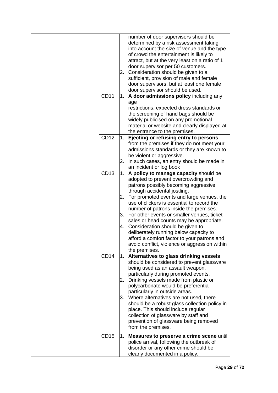|             | 2.                   | number of door supervisors should be<br>determined by a risk assessment taking<br>into account the size of venue and the type<br>of crowd the entertainment is likely to<br>attract, but at the very least on a ratio of 1<br>door supervisor per 50 customers.<br>Consideration should be given to a<br>sufficient, provision of male and female<br>door supervisors, but at least one female<br>door supervisor should be used.                                                                                                                                                  |
|-------------|----------------------|------------------------------------------------------------------------------------------------------------------------------------------------------------------------------------------------------------------------------------------------------------------------------------------------------------------------------------------------------------------------------------------------------------------------------------------------------------------------------------------------------------------------------------------------------------------------------------|
| <b>CD11</b> | 1.                   | A door admissions policy including any<br>age<br>restrictions, expected dress standards or<br>the screening of hand bags should be<br>widely publicised on any promotional                                                                                                                                                                                                                                                                                                                                                                                                         |
|             |                      | material or website and clearly displayed at<br>the entrance to the premises.                                                                                                                                                                                                                                                                                                                                                                                                                                                                                                      |
|             |                      |                                                                                                                                                                                                                                                                                                                                                                                                                                                                                                                                                                                    |
| <b>CD12</b> | 1.<br>2.             | Ejecting or refusing entry to persons<br>from the premises if they do not meet your<br>admissions standards or they are known to<br>be violent or aggressive.<br>In such cases, an entry should be made in<br>an incident or log book                                                                                                                                                                                                                                                                                                                                              |
| CD13        |                      |                                                                                                                                                                                                                                                                                                                                                                                                                                                                                                                                                                                    |
|             | 1.<br>2.<br>3.<br>4. | A policy to manage capacity should be<br>adopted to prevent overcrowding and<br>patrons possibly becoming aggressive<br>through accidental jostling.<br>For promoted events and large venues, the<br>use of clickers is essential to record the<br>number of patrons inside the premises.<br>For other events or smaller venues, ticket<br>sales or head counts may be appropriate.<br>Consideration should be given to<br>deliberately running below capacity to<br>afford a comfort factor to your patrons and<br>avoid conflict, violence or aggression within<br>the premises. |
| <b>CD14</b> | 1.<br>2.<br>3.       | Alternatives to glass drinking vessels<br>should be considered to prevent glassware<br>being used as an assault weapon,<br>particularly during promoted events.<br>Drinking vessels made from plastic or<br>polycarbonate would be preferential<br>particularly in outside areas.<br>Where alternatives are not used, there<br>should be a robust glass collection policy in<br>place. This should include regular<br>collection of glassware by staff and<br>prevention of glassware being removed<br>from the premises.                                                          |
| CD15        | 1.                   | Measures to preserve a crime scene until<br>police arrival, following the outbreak of<br>disorder or any other crime should be<br>clearly documented in a policy.                                                                                                                                                                                                                                                                                                                                                                                                                  |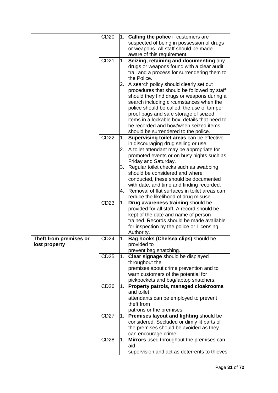|                        | CD <sub>20</sub> |    | 1. Calling the police if customers are                  |
|------------------------|------------------|----|---------------------------------------------------------|
|                        |                  |    | suspected of being in possession of drugs               |
|                        |                  |    | or weapons. All staff should be made                    |
|                        |                  |    | aware of this requirement.                              |
|                        | CD21             | 1. | Seizing, retaining and documenting any                  |
|                        |                  |    | drugs or weapons found with a clear audit               |
|                        |                  |    | trail and a process for surrendering them to            |
|                        |                  |    | the Police.                                             |
|                        |                  | 2. | A search policy should clearly set out                  |
|                        |                  |    | procedures that should be followed by staff             |
|                        |                  |    | should they find drugs or weapons during a              |
|                        |                  |    | search including circumstances when the                 |
|                        |                  |    | police should be called; the use of tamper              |
|                        |                  |    | proof bags and safe storage of seized                   |
|                        |                  |    | items in a lockable box; details that need to           |
|                        |                  |    | be recorded and how/when seized items                   |
|                        |                  |    | should be surrendered to the police.                    |
|                        | CD22             | 1. | Supervising toilet areas can be effective               |
|                        |                  |    | in discouraging drug selling or use.                    |
|                        |                  | 2. | A toilet attendant may be appropriate for               |
|                        |                  |    | promoted events or on busy nights such as               |
|                        |                  |    | Friday and Saturday.                                    |
|                        |                  | 3. | Regular toilet checks such as swabbing                  |
|                        |                  |    | should be considered and where                          |
|                        |                  |    | conducted, these should be documented                   |
|                        |                  |    | with date, and time and finding recorded.               |
|                        |                  | 4. | Removal of flat surfaces in toilet areas can            |
|                        |                  |    | reduce the likelihood of drug misuse                    |
|                        | CD23             | 1. | Drug awareness training should be                       |
|                        |                  |    | provided for all staff. A record should be              |
|                        |                  |    | kept of the date and name of person                     |
|                        |                  |    | trained. Records should be made available               |
|                        |                  |    | for inspection by the police or Licensing<br>Authority. |
| Theft from premises or | <b>CD24</b>      | 1. | Bag hooks (Chelsea clips) should be                     |
| lost property          |                  |    | provided to                                             |
|                        |                  |    | prevent bag snatching.                                  |
|                        | CD25             |    | 1. Clear signage should be displayed                    |
|                        |                  |    | throughout the                                          |
|                        |                  |    | premises about crime prevention and to                  |
|                        |                  |    | warn customers of the potential for                     |
|                        |                  |    | pickpockets and bag/laptop snatchers.                   |
|                        | CD <sub>26</sub> |    | 1. Property patrols, managed cloakrooms                 |
|                        |                  |    | and toilet                                              |
|                        |                  |    | attendants can be employed to prevent                   |
|                        |                  |    | theft from                                              |
|                        |                  |    | patrons or the premises.                                |
|                        | <b>CD27</b>      | 1. | <b>Premises layout and lighting should be</b>           |
|                        |                  |    | considered. Secluded or dimly lit parts of              |
|                        |                  |    | the premises should be avoided as they                  |
|                        |                  |    | can encourage crime.                                    |
|                        | <b>CD28</b>      | 1. | Mirrors used throughout the premises can                |
|                        |                  |    | aid                                                     |
|                        |                  |    | supervision and act as deterrents to thieves            |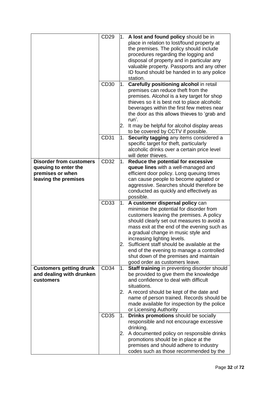|                                                                                                    | CD29 | 1.       | A lost and found policy should be in<br>place in relation to lost/found property at<br>the premises. The policy should include<br>procedures regarding the logging and<br>disposal of property and in particular any<br>valuable property. Passports and any other<br>ID found should be handed in to any police<br>station.                                                                                                                                          |
|----------------------------------------------------------------------------------------------------|------|----------|-----------------------------------------------------------------------------------------------------------------------------------------------------------------------------------------------------------------------------------------------------------------------------------------------------------------------------------------------------------------------------------------------------------------------------------------------------------------------|
|                                                                                                    | CD30 | 1.<br>2. | Carefully positioning alcohol in retail<br>premises can reduce theft from the<br>premises. Alcohol is a key target for shop<br>thieves so it is best not to place alcoholic<br>beverages within the first few metres near<br>the door as this allows thieves to 'grab and<br>run'.<br>It may be helpful for alcohol display areas<br>to be covered by CCTV if possible.                                                                                               |
|                                                                                                    | CD31 | 1.       | Security tagging any items considered a<br>specific target for theft, particularly<br>alcoholic drinks over a certain price level<br>will deter thieves.                                                                                                                                                                                                                                                                                                              |
| <b>Disorder from customers</b><br>queuing to enter the<br>premises or when<br>leaving the premises | CD32 | 1.       | Reduce the potential for excessive<br>queue lines with a well-managed and<br>efficient door policy. Long queuing times<br>can cause people to become agitated or<br>aggressive. Searches should therefore be<br>conducted as quickly and effectively as<br>possible.                                                                                                                                                                                                  |
|                                                                                                    | CD33 | 2.       | 1. A customer dispersal policy can<br>minimise the potential for disorder from<br>customers leaving the premises. A policy<br>should clearly set out measures to avoid a<br>mass exit at the end of the evening such as<br>a gradual change in music style and<br>increasing lighting levels.<br>Sufficient staff should be available at the<br>end of the evening to manage a controlled<br>shut down of the premises and maintain<br>good order as customers leave. |
| <b>Customers getting drunk</b><br>and dealing with drunken<br>customers                            | CD34 | 1.<br>2. | Staff training in preventing disorder should<br>be provided to give them the knowledge<br>and confidence to deal with difficult<br>situations.<br>A record should be kept of the date and<br>name of person trained. Records should be<br>made available for inspection by the police<br>or Licensing Authority                                                                                                                                                       |
|                                                                                                    | CD35 | 1.<br>2. | Drinks promotions should be socially<br>responsible and not encourage excessive<br>drinking.<br>A documented policy on responsible drinks<br>promotions should be in place at the<br>premises and should adhere to industry<br>codes such as those recommended by the                                                                                                                                                                                                 |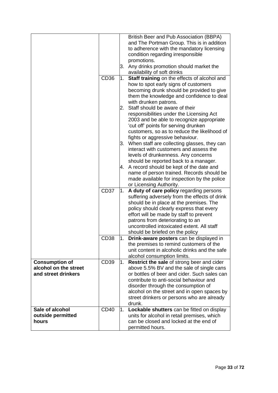|                            |             |    | British Beer and Pub Association (BBPA)<br>and The Portman Group. This is in addition |
|----------------------------|-------------|----|---------------------------------------------------------------------------------------|
|                            |             |    | to adherence with the mandatory licensing                                             |
|                            |             |    | condition regarding irresponsible                                                     |
|                            |             |    | promotions.                                                                           |
|                            |             | 3. | Any drinks promotion should market the                                                |
|                            |             |    | availability of soft drinks                                                           |
|                            | CD36        |    | 1. Staff training on the effects of alcohol and                                       |
|                            |             |    | how to spot early signs of customers                                                  |
|                            |             |    | becoming drunk should be provided to give                                             |
|                            |             |    | them the knowledge and confidence to deal                                             |
|                            |             |    | with drunken patrons.                                                                 |
|                            |             | 2. | Staff should be aware of their                                                        |
|                            |             |    | responsibilities under the Licensing Act                                              |
|                            |             |    | 2003 and be able to recognize appropriate                                             |
|                            |             |    | 'cut off' points for serving drunken                                                  |
|                            |             |    | customers, so as to reduce the likelihood of                                          |
|                            |             | 3. | fights or aggressive behaviour.<br>When staff are collecting glasses, they can        |
|                            |             |    | interact with customers and assess the                                                |
|                            |             |    | levels of drunkenness. Any concerns                                                   |
|                            |             |    | should be reported back to a manager.                                                 |
|                            |             |    | 4. A record should be kept of the date and                                            |
|                            |             |    | name of person trained. Records should be                                             |
|                            |             |    | made available for inspection by the police                                           |
|                            |             |    | or Licensing Authority.                                                               |
|                            | <b>CD37</b> |    | 1. A duty of care policy regarding persons                                            |
|                            |             |    | suffering adversely from the effects of drink                                         |
|                            |             |    | should be in place at the premises. The                                               |
|                            |             |    | policy should clearly express that every                                              |
|                            |             |    | effort will be made by staff to prevent                                               |
|                            |             |    | patrons from deteriorating to an<br>uncontrolled intoxicated extent. All staff        |
|                            |             |    |                                                                                       |
|                            | CD38        |    | should be briefed on the policy<br>1. Drink-aware posters can be displayed in         |
|                            |             |    | the premises to remind customers of the                                               |
|                            |             |    | unit content in alcoholic drinks and the safe                                         |
|                            |             |    | alcohol consumption limits.                                                           |
| <b>Consumption of</b>      | CD39        |    | 1. Restrict the sale of strong beer and cider                                         |
| alcohol on the street      |             |    | above 5.5% BV and the sale of single cans                                             |
| and street drinkers        |             |    | or bottles of beer and cider. Such sales can                                          |
|                            |             |    | contribute to anti-social behaviour and                                               |
|                            |             |    | disorder through the consumption of                                                   |
|                            |             |    | alcohol on the street and in open spaces by                                           |
|                            |             |    | street drinkers or persons who are already                                            |
|                            |             |    | drunk.                                                                                |
| Sale of alcohol            | <b>CD40</b> |    | 1. Lockable shutters can be fitted on display                                         |
| outside permitted<br>hours |             |    | units for alcohol in retail premises, which<br>can be closed and locked at the end of |
|                            |             |    | permitted hours.                                                                      |
|                            |             |    |                                                                                       |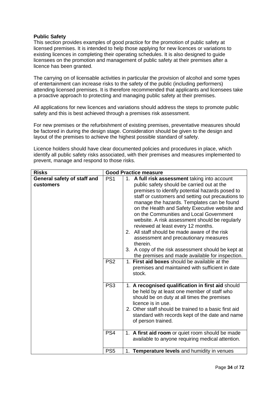## **Public Safety**

This section provides examples of good practice for the promotion of public safety at licensed premises. It is intended to help those applying for new licences or variations to existing licences in completing their operating schedules. It is also designed to guide licensees on the promotion and management of public safety at their premises after a licence has been granted.

The carrying on of licensable activities in particular the provision of alcohol and some types of entertainment can increase risks to the safety of the public (including performers) attending licensed premises. It is therefore recommended that applicants and licensees take a proactive approach to protecting and managing public safety at their premises.

All applications for new licences and variations should address the steps to promote public safety and this is best achieved through a premises risk assessment.

For new premises or the refurbishment of existing premises, preventative measures should be factored in during the design stage. Consideration should be given to the design and layout of the premises to achieve the highest possible standard of safety.

Licence holders should have clear documented policies and procedures in place, which identify all public safety risks associated, with their premises and measures implemented to prevent, manage and respond to those risks.

| <b>Risks</b>                | <b>Good Practice measure</b> |                                                                                                                                                                                                                                                                                                                                                                                                                                                                                                                                                                                                                                                       |  |  |
|-----------------------------|------------------------------|-------------------------------------------------------------------------------------------------------------------------------------------------------------------------------------------------------------------------------------------------------------------------------------------------------------------------------------------------------------------------------------------------------------------------------------------------------------------------------------------------------------------------------------------------------------------------------------------------------------------------------------------------------|--|--|
| General safety of staff and | PS <sub>1</sub>              | 1. A full risk assessment taking into account                                                                                                                                                                                                                                                                                                                                                                                                                                                                                                                                                                                                         |  |  |
| customers                   | PS <sub>2</sub>              | public safety should be carried out at the<br>premises to identify potential hazards posed to<br>staff or customers and setting out precautions to<br>manage the hazards. Templates can be found<br>on the Health and Safety Executive website and<br>on the Communities and Local Government<br>website. A risk assessment should be regularly<br>reviewed at least every 12 months.<br>2. All staff should be made aware of the risk<br>assessment and precautionary measures<br>therein.<br>3. A copy of the risk assessment should be kept at<br>the premises and made available for inspection.<br>1. First aid boxes should be available at the |  |  |
|                             |                              | premises and maintained with sufficient in date<br>stock.                                                                                                                                                                                                                                                                                                                                                                                                                                                                                                                                                                                             |  |  |
|                             | PS <sub>3</sub>              | 1. A recognised qualification in first aid should<br>be held by at least one member of staff who<br>should be on duty at all times the premises<br>licence is in use.<br>2. Other staff should be trained to a basic first aid<br>standard with records kept of the date and name<br>of person trained.                                                                                                                                                                                                                                                                                                                                               |  |  |
|                             | PS <sub>4</sub>              | 1. A first aid room or quiet room should be made<br>available to anyone requiring medical attention.                                                                                                                                                                                                                                                                                                                                                                                                                                                                                                                                                  |  |  |
|                             | PS <sub>5</sub>              | 1. Temperature levels and humidity in venues                                                                                                                                                                                                                                                                                                                                                                                                                                                                                                                                                                                                          |  |  |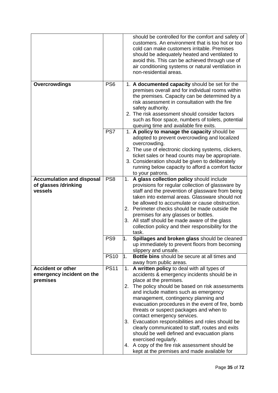|                                                                     |                                |          | should be controlled for the comfort and safety of<br>customers. An environment that is too hot or too<br>cold can make customers irritable. Premises<br>should be adequately heated and ventilated to<br>avoid this. This can be achieved through use of<br>air conditioning systems or natural ventilation in<br>non-residential areas.                                                                                                                                                                                                                                                           |
|---------------------------------------------------------------------|--------------------------------|----------|-----------------------------------------------------------------------------------------------------------------------------------------------------------------------------------------------------------------------------------------------------------------------------------------------------------------------------------------------------------------------------------------------------------------------------------------------------------------------------------------------------------------------------------------------------------------------------------------------------|
| Overcrowdings                                                       | PS <sub>6</sub>                |          | 1. A documented capacity should be set for the<br>premises overall and for individual rooms within<br>the premises. Capacity can be determined by a<br>risk assessment in consultation with the fire<br>safety authority.<br>2. The risk assessment should consider factors<br>such as floor space, numbers of toilets, potential<br>queuing time and available fire exits.                                                                                                                                                                                                                         |
|                                                                     | PS7                            |          | 1. A policy to manage the capacity should be<br>adopted to prevent overcrowding and localized<br>overcrowding.<br>2. The use of electronic clocking systems, clickers,<br>ticket sales or head counts may be appropriate.<br>3. Consideration should be given to deliberately<br>running below capacity to afford a comfort factor<br>to your patrons.                                                                                                                                                                                                                                              |
| <b>Accumulation and disposal</b><br>of glasses /drinking<br>vessels | PS <sub>8</sub>                | 1.       | A glass collection policy should include<br>provisions for regular collection of glassware by<br>staff and the prevention of glassware from being<br>taken into external areas. Glassware should not<br>be allowed to accumulate or cause obstruction.<br>2. Perimeter checks should be made outside the<br>premises for any glasses or bottles.<br>3. All staff should be made aware of the glass<br>collection policy and their responsibility for the<br>task.                                                                                                                                   |
|                                                                     | PS <sub>9</sub><br><b>PS10</b> | 1.<br>1. | Spillages and broken glass should be cleaned<br>up immediately to prevent floors from becoming<br>slippery and unsafe.<br>Bottle bins should be secure at all times and                                                                                                                                                                                                                                                                                                                                                                                                                             |
| <b>Accident or other</b><br>emergency incident on the<br>premises   | <b>PS11</b>                    | 1.       | away from public areas.<br>A written policy to deal with all types of<br>accidents & emergency incidents should be in<br>place at the premises.<br>2. The policy should be based on risk assessments<br>and include matters such as emergency<br>management, contingency planning and<br>evacuation procedures in the event of fire, bomb<br>threats or suspect packages and when to<br>contact emergency services.<br>3. Evacuation responsibilities and roles should be<br>clearly communicated to staff, routes and exits<br>should be well defined and evacuation plans<br>exercised regularly. |
|                                                                     |                                | 4.       | A copy of the fire risk assessment should be<br>kept at the premises and made available for                                                                                                                                                                                                                                                                                                                                                                                                                                                                                                         |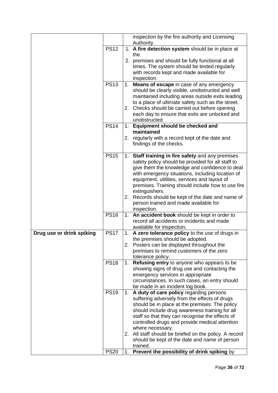|                           |             |    | inspection by the fire authority and Licensing<br>Authority.                                       |
|---------------------------|-------------|----|----------------------------------------------------------------------------------------------------|
|                           | <b>PS12</b> |    | 1. A fire detection system should be in place at                                                   |
|                           |             |    | the<br>2. premises and should be fully functional at all                                           |
|                           |             |    | times. The system should be tested regularly                                                       |
|                           |             |    | with records kept and made available for                                                           |
|                           | <b>PS13</b> | 1. | inspection.<br><b>Means of escape</b> in case of any emergency                                     |
|                           |             |    | should be clearly visible, unobstructed and well                                                   |
|                           |             |    | maintained including areas outside exits leading                                                   |
|                           |             |    | to a place of ultimate safety such as the street.                                                  |
|                           |             |    | 2. Checks should be carried out before opening<br>each day to ensure that exits are unlocked and   |
|                           |             |    | unobstructed.                                                                                      |
|                           | <b>PS14</b> | 1. | Equipment should be checked and                                                                    |
|                           |             |    | maintained                                                                                         |
|                           |             |    | 2. regularly with a record kept of the date and<br>findings of the checks.                         |
|                           | <b>PS15</b> |    | 1. Staff training in fire safety and any premises                                                  |
|                           |             |    | safety policy should be provided for all staff to                                                  |
|                           |             |    | give them the knowledge and confidence to deal<br>with emergency situations, including location of |
|                           |             |    | equipment, utilities, services and layout of                                                       |
|                           |             |    | premises. Training should include how to use fire                                                  |
|                           |             | 2. | extinguishers.<br>Records should be kept of the date and name of                                   |
|                           |             |    | person trained and made available for                                                              |
|                           |             |    | inspection.                                                                                        |
|                           | <b>PS16</b> | 1. | An accident book should be kept in order to                                                        |
|                           |             |    | record all accidents or incidents and made<br>available for inspection.                            |
| Drug use or drink spiking | <b>PS17</b> | 1. | A zero tolerance policy to the use of drugs in                                                     |
|                           |             |    | the premises should be adopted.                                                                    |
|                           |             |    | 2. Posters can be displayed throughout the<br>premises to remind customers of the zero             |
|                           |             |    | tolerance policy.                                                                                  |
|                           | <b>PS18</b> | 1. | Refusing entry to anyone who appears to be                                                         |
|                           |             |    | showing signs of drug use and contacting the<br>emergency services in appropriate                  |
|                           |             |    | circumstances. In such cases, an entry should                                                      |
|                           |             |    | be made in an incident log book.                                                                   |
|                           | <b>PS19</b> | 1. | A duty of care policy regarding persons                                                            |
|                           |             |    | suffering adversely from the effects of drugs<br>should be in place at the premises. The policy    |
|                           |             |    | should include drug awareness training for all                                                     |
|                           |             |    | staff so that they can recognise the effects of                                                    |
|                           |             |    | controlled drugs and provide medical attention                                                     |
|                           |             |    | where necessary.<br>2. All staff should be briefed on the policy. A record                         |
|                           |             |    | should be kept of the date and name of person                                                      |
|                           |             |    | trained.                                                                                           |
|                           | <b>PS20</b> | 1. | Prevent the possibility of drink spiking by                                                        |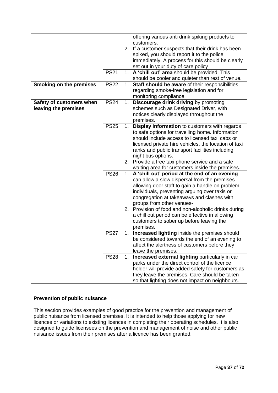| <b>Smoking on the premises</b>                   | <b>PS21</b><br><b>PS22</b> |    | offering various anti drink spiking products to<br>customers.<br>2. If a customer suspects that their drink has been<br>spiked, you should report it to the police<br>immediately. A process for this should be clearly<br>set out in your duty of care policy<br>1. A 'chill out' area should be provided. This<br>should be cooler and quieter than rest of venue.<br>1. Staff should be aware of their responsibilities<br>regarding smoke-free legislation and for<br>monitoring compliance. |
|--------------------------------------------------|----------------------------|----|--------------------------------------------------------------------------------------------------------------------------------------------------------------------------------------------------------------------------------------------------------------------------------------------------------------------------------------------------------------------------------------------------------------------------------------------------------------------------------------------------|
| Safety of customers when<br>leaving the premises | <b>PS24</b>                |    | 1. Discourage drink driving by promoting<br>schemes such as Designated Driver, with<br>notices clearly displayed throughout the<br>premises.                                                                                                                                                                                                                                                                                                                                                     |
|                                                  | <b>PS25</b>                |    | 1. Display information to customers with regards<br>to safe options for travelling home. Information<br>should include access to licensed taxi cabs or<br>licensed private hire vehicles, the location of taxi<br>ranks and public transport facilities including<br>night bus options.<br>2. Provide a free taxi phone service and a safe<br>waiting area for customers inside the premises.                                                                                                    |
|                                                  | <b>PS26</b>                |    | 1. A 'chill out' period at the end of an evening<br>can allow a slow dispersal from the premises<br>allowing door staff to gain a handle on problem<br>individuals, preventing arguing over taxis or<br>congregation at takeaways and clashes with<br>groups from other venues-<br>2. Provision of food and non-alcoholic drinks during<br>a chill out period can be effective in allowing<br>customers to sober up before leaving the<br>premises.                                              |
|                                                  | <b>PS27</b>                |    | 1. Increased lighting inside the premises should<br>be considered towards the end of an evening to<br>affect the alertness of customers before they<br>leave the premises.                                                                                                                                                                                                                                                                                                                       |
|                                                  | <b>PS28</b>                | 1. | Increased external lighting particularly in car<br>parks under the direct control of the licence<br>holder will provide added safety for customers as<br>they leave the premises. Care should be taken<br>so that lighting does not impact on neighbours.                                                                                                                                                                                                                                        |

# **Prevention of public nuisance**

This section provides examples of good practice for the prevention and management of public nuisance from licensed premises. It is intended to help those applying for new licences or variations to existing licences in completing their operating schedules. It is also designed to guide licensees on the prevention and management of noise and other public nuisance issues from their premises after a licence has been granted.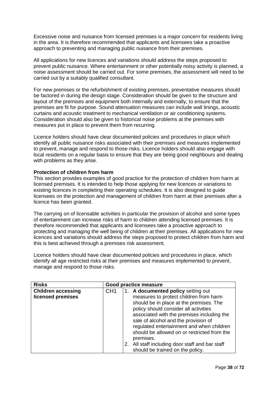Excessive noise and nuisance from licensed premises is a major concern for residents living in the area. It is therefore recommended that applicants and licensees take a proactive approach to preventing and managing public nuisance from their premises.

All applications for new licences and variations should address the steps proposed to prevent public nuisance. Where entertainment or other potentially noisy activity is planned, a noise assessment should be carried out. For some premises, the assessment will need to be carried out by a suitably qualified consultant.

For new premises or the refurbishment of existing premises, preventative measures should be factored in during the design stage. Consideration should be given to the structure and layout of the premises and equipment both internally and externally, to ensure that the premises are fit for purpose. Sound attenuation measures can include wall linings, acoustic curtains and acoustic treatment to mechanical ventilation or air conditioning systems. Consideration should also be given to historical noise problems at the premises with measures put in place to prevent them from recurring.

Licence holders should have clear documented policies and procedures in place which identify all public nuisance risks associated with their premises and measures implemented to prevent, manage and respond to those risks. Licence holders should also engage with local residents on a regular basis to ensure that they are being good neighbours and dealing with problems as they arise.

# **Protection of children from harm**

This section provides examples of good practice for the protection of children from harm at licensed premises. It is intended to help those applying for new licences or variations to existing licences in completing their operating schedules. It is also designed to guide licensees on the protection and management of children from harm at their premises after a licence has been granted.

The carrying on of licensable activities in particular the provision of alcohol and some types of entertainment can increase risks of harm to children attending licensed premises. It is therefore recommended that applicants and licensees take a proactive approach to protecting and managing the well being of children at their premises. All applications for new licences and variations should address the steps proposed to protect children from harm and this is best achieved through a premises risk assessment.

Licence holders should have clear documented policies and procedures in place, which identify all age restricted risks at their premises and measures implemented to prevent, manage and respond to those risks.

| <b>Risks</b>              |                 | Good practice measure                           |
|---------------------------|-----------------|-------------------------------------------------|
| <b>Children accessing</b> | CH <sub>1</sub> | A documented policy setting out                 |
| licensed premises         |                 | measures to protect children from harm          |
|                           |                 | should be in place at the premises. The         |
|                           |                 | policy should consider all activities           |
|                           |                 | associated with the premises including the      |
|                           |                 | sale of alcohol and the provision of            |
|                           |                 | regulated entertainment and when children       |
|                           |                 | should be allowed on or restricted from the     |
|                           |                 | premises.                                       |
|                           |                 | 2. All staff including door staff and bar staff |
|                           |                 | should be trained on the policy.                |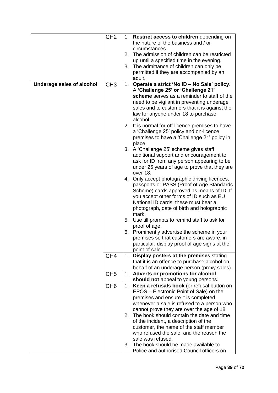|                           | CH <sub>2</sub> | 2 <sub>1</sub> | 1. Restrict access to children depending on<br>the nature of the business and / or<br>circumstances.<br>The admission of children can be restricted<br>up until a specified time in the evening.<br>3. The admittance of children can only be<br>permitted if they are accompanied by an                                                                                                                                                                                                                                                                                                                                                                                                                                                                                                                                                                                                                                                                                                                                                                                                  |
|---------------------------|-----------------|----------------|-------------------------------------------------------------------------------------------------------------------------------------------------------------------------------------------------------------------------------------------------------------------------------------------------------------------------------------------------------------------------------------------------------------------------------------------------------------------------------------------------------------------------------------------------------------------------------------------------------------------------------------------------------------------------------------------------------------------------------------------------------------------------------------------------------------------------------------------------------------------------------------------------------------------------------------------------------------------------------------------------------------------------------------------------------------------------------------------|
|                           |                 |                | adult.                                                                                                                                                                                                                                                                                                                                                                                                                                                                                                                                                                                                                                                                                                                                                                                                                                                                                                                                                                                                                                                                                    |
| Underage sales of alcohol | CH <sub>3</sub> | 5.             | 1. Operate a strict 'No ID - No Sale' policy.<br>A 'Challenge 25' or 'Challenge 21'<br>scheme serves as a reminder to staff of the<br>need to be vigilant in preventing underage<br>sales and to customers that it is against the<br>law for anyone under 18 to purchase<br>alcohol.<br>2. It is normal for off-licence premises to have<br>a 'Challenge 25' policy and on-licence<br>premises to have a 'Challenge 21' policy in<br>place.<br>3. A 'Challenge 25' scheme gives staff<br>additional support and encouragement to<br>ask for ID from any person appearing to be<br>under 25 years of age to prove that they are<br>over 18.<br>4. Only accept photographic driving licences,<br>passports or PASS (Proof of Age Standards<br>Scheme) cards approved as means of ID. If<br>you accept other forms of ID such as EU<br>National ID cards, these must bear a<br>photograph, date of birth and holographic<br>mark.<br>Use till prompts to remind staff to ask for<br>proof of age.<br>6. Prominently advertise the scheme in your<br>premises so that customers are aware, in |
|                           |                 |                | particular, display proof of age signs at the<br>point of sale.                                                                                                                                                                                                                                                                                                                                                                                                                                                                                                                                                                                                                                                                                                                                                                                                                                                                                                                                                                                                                           |
|                           | CH <sub>4</sub> | 1.             | Display posters at the premises stating<br>that it is an offence to purchase alcohol on<br>behalf of an underage person (proxy sales).                                                                                                                                                                                                                                                                                                                                                                                                                                                                                                                                                                                                                                                                                                                                                                                                                                                                                                                                                    |
|                           | CH <sub>5</sub> | 1.             | <b>Adverts or promotions for alcohol</b><br>should not appeal to young persons.                                                                                                                                                                                                                                                                                                                                                                                                                                                                                                                                                                                                                                                                                                                                                                                                                                                                                                                                                                                                           |
|                           | CH <sub>6</sub> | 1.             | Keep a refusals book (or refusal button on<br>EPOS - Electronic Point of Sale) on the<br>premises and ensure it is completed<br>whenever a sale is refused to a person who                                                                                                                                                                                                                                                                                                                                                                                                                                                                                                                                                                                                                                                                                                                                                                                                                                                                                                                |
|                           |                 |                | cannot prove they are over the age of 18.<br>2. The book should contain the date and time<br>of the incident, a description of the<br>customer, the name of the staff member<br>who refused the sale, and the reason the<br>sale was refused.                                                                                                                                                                                                                                                                                                                                                                                                                                                                                                                                                                                                                                                                                                                                                                                                                                             |
|                           |                 |                | 3. The book should be made available to<br>Police and authorised Council officers on                                                                                                                                                                                                                                                                                                                                                                                                                                                                                                                                                                                                                                                                                                                                                                                                                                                                                                                                                                                                      |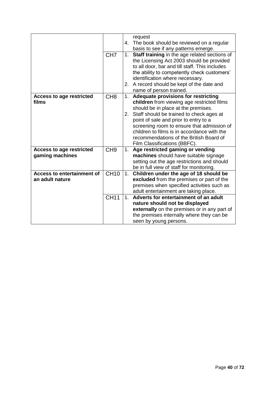|                                   |                 |                | request                                        |
|-----------------------------------|-----------------|----------------|------------------------------------------------|
|                                   |                 | 4.             | The book should be reviewed on a regular       |
|                                   |                 |                | basis to see if any patterns emerge.           |
|                                   |                 | 1.             |                                                |
|                                   | CH <sub>7</sub> |                | Staff training in the age related sections of  |
|                                   |                 |                | the Licensing Act 2003 should be provided      |
|                                   |                 |                | to all door, bar and till staff. This includes |
|                                   |                 |                | the ability to competently check customers'    |
|                                   |                 |                | identification where necessary.                |
|                                   |                 | 2.             | A record should be kept of the date and        |
|                                   |                 |                | name of person trained.                        |
| <b>Access to age restricted</b>   | CH <sub>8</sub> |                | 1. Adequate provisions for restricting         |
| films                             |                 |                | children from viewing age restricted films     |
|                                   |                 |                | should be in place at the premises.            |
|                                   |                 | 2.             | Staff should be trained to check ages at       |
|                                   |                 |                | point of sale and prior to entry to a          |
|                                   |                 |                | screening room to ensure that admission of     |
|                                   |                 |                | children to films is in accordance with the    |
|                                   |                 |                | recommendations of the British Board of        |
|                                   |                 |                |                                                |
|                                   | CH <sub>9</sub> |                | Film Classifications (BBFC).                   |
| <b>Access to age restricted</b>   |                 |                | 1. Age restricted gaming or vending            |
| gaming machines                   |                 |                | machines should have suitable signage          |
|                                   |                 |                | setting out the age restrictions and should    |
|                                   |                 |                | be in full view of staff for monitoring.       |
| <b>Access to entertainment of</b> | <b>CH10</b>     | 1.             | Children under the age of 18 should be         |
| an adult nature                   |                 |                | excluded from the premises or part of the      |
|                                   |                 |                | premises when specified activities such as     |
|                                   |                 |                | adult entertainment are taking place.          |
|                                   | CH11            | 1 <sub>1</sub> | Adverts for entertainment of an adult          |
|                                   |                 |                | nature should not be displayed                 |
|                                   |                 |                | externally on the premises or in any part of   |
|                                   |                 |                | the premises internally where they can be      |
|                                   |                 |                | seen by young persons.                         |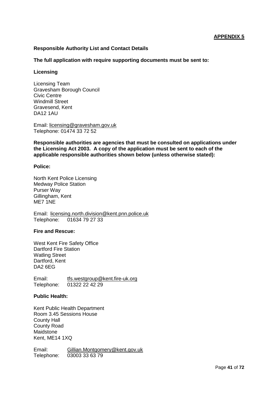## **Responsible Authority List and Contact Details**

#### **The full application with require supporting documents must be sent to:**

#### **Licensing**

Licensing Team Gravesham Borough Council Civic Centre Windmill Street Gravesend, Kent DA12 1AU

Email: [licensing@gravesham.gov.uk](mailto:licensing@gravesham.gov.uk) Telephone: 01474 33 72 52

**Responsible authorities are agencies that must be consulted on applications under the Licensing Act 2003. A copy of the application must be sent to each of the applicable responsible authorities shown below (unless otherwise stated):**

#### **Police:**

North Kent Police Licensing Medway Police Station Purser Way Gillingham, Kent ME7 1NE

Email: [licensing.north.division@kent.pnn.police.uk](mailto:licensing.north.division@kent.pnn.police.uk) Telephone: 01634 79 27 33

#### **Fire and Rescue:**

West Kent Fire Safety Office Dartford Fire Station Watling Street Dartford, Kent DA2 6EG

Email: [tfs.westgroup@kent.fire-uk.org](mailto:tfs.westgroup@kent.fire-uk.org) Telephone: 01322 22 42 29

## **Public Health:**

Kent Public Health Department Room 3.45 Sessions House County Hall County Road Maidstone Kent, ME14 1XQ

Email: [Gillian.Montgomery@kent.gov.uk](mailto:Gillian.Montgomery@kent.gov.uk) Telephone: 03003 33 63 79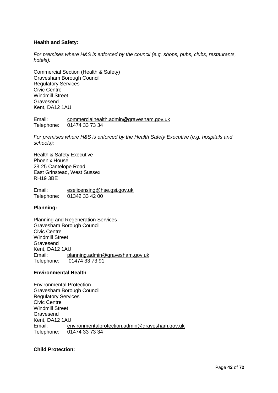# **Health and Safety:**

*For premises where H&S is enforced by the council (e.g. shops, pubs, clubs, restaurants, hotels):*

Commercial Section (Health & Safety) Gravesham Borough Council Regulatory Services Civic Centre Windmill Street Gravesend Kent, DA12 1AU

Email: [commercialhealth.admin@gravesham.gov.uk](mailto:commercialhealth.admin@gravesham.gov.uk) Telephone: 01474 33 73 34

*For premises where H&S is enforced by the Health Safety Executive (e.g. hospitals and schools):*

Health & Safety Executive Phoenix House 23-25 Cantelope Road East Grinstead, West Sussex RH19 3BE

Email: [eselicensing@hse.gsi.gov.uk](mailto:eselicensing@hse.gsi.gov.uk) Telephone: 01342 33 42 00

#### **Planning:**

Planning and Regeneration Services Gravesham Borough Council Civic Centre Windmill Street Gravesend Kent, DA12 1AU Email: [planning.admin@gravesham.gov.uk](mailto:planning.admin@gravesham.gov.uk) Telephone: 01474 33 73 91

#### **Environmental Health**

Environmental Protection Gravesham Borough Council Regulatory Services Civic Centre Windmill Street Gravesend Kent, DA12 1AU Email: [environmentalprotection.admin@gravesham.gov.uk](mailto:environmentalprotection.admin@gravesham.gov.uk) Telephone: 01474 33 73 34

## **Child Protection:**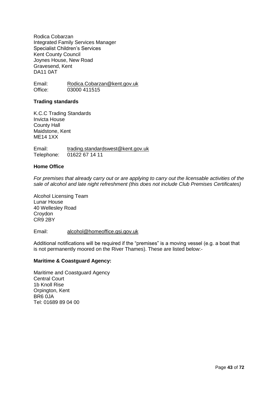Rodica Cobarzan Integrated Family Services Manager Specialist Children's Services Kent County Council Joynes House, New Road Gravesend, Kent DA11 0AT

Email: [Rodica.Cobarzan@kent.gov.uk](mailto:Rodica.Cobarzan@kent.gov.uk) Office: 03000 411515

# **Trading standards**

K.C.C Trading Standards Invicta House County Hall Maidstone, Kent ME14 1XX

Email: [trading.standardswest@kent.gov.uk](mailto:trading.standardswest@kent.gov.uk) Telephone: 01622 67 14 11

#### **Home Office**

*For premises that already carry out or are applying to carry out the licensable activities of the sale of alcohol and late night refreshment (this does not include Club Premises Certificates)*

Alcohol Licensing Team Lunar House 40 Wellesley Road Croydon CR9 2BY

#### Email: [alcohol@homeoffice.gsi.gov.uk](mailto:alcohol@homeoffice.gsi.gov.uk)

Additional notifications will be required if the "premises" is a moving vessel (e.g. a boat that is not permanently moored on the River Thames). These are listed below:-

#### **Maritime & Coastguard Agency:**

Maritime and Coastguard Agency Central Court 1b Knoll Rise Orpington, Kent BR6 0JA Tel: 01689 89 04 00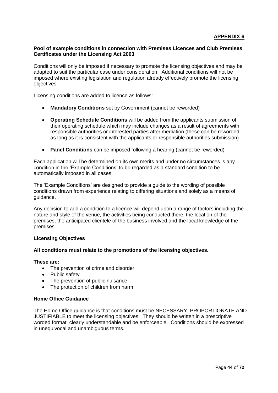# **Pool of example conditions in connection with Premises Licences and Club Premises Certificates under the Licensing Act 2003**

Conditions will only be imposed if necessary to promote the licensing objectives and may be adapted to suit the particular case under consideration. Additional conditions will not be imposed where existing legislation and regulation already effectively promote the licensing objectives.

Licensing conditions are added to licence as follows: -

- **Mandatory Conditions** set by Government (cannot be reworded)
- **Operating Schedule Conditions** will be added from the applicants submission of their operating schedule which may include changes as a result of agreements with responsible authorities or interested parties after mediation (these can be reworded as long as it is consistent with the applicants or responsible authorities submission)
- **Panel Conditions** can be imposed following a hearing (cannot be reworded)

Each application will be determined on its own merits and under no circumstances is any condition in the 'Example Conditions' to be regarded as a standard condition to be automatically imposed in all cases.

The 'Example Conditions' are designed to provide a guide to the wording of possible conditions drawn from experience relating to differing situations and solely as a means of guidance.

Any decision to add a condition to a licence will depend upon a range of factors including the nature and style of the venue, the activities being conducted there, the location of the premises, the anticipated clientele of the business involved and the local knowledge of the premises.

#### **Licensing Objectives**

#### **All conditions must relate to the promotions of the licensing objectives.**

#### **These are:**

- The prevention of crime and disorder
- Public safety
- The prevention of public nuisance
- The protection of children from harm

#### **Home Office Guidance**

The Home Office guidance is that conditions must be NECESSARY, PROPORTIONATE AND JUSTIFIABLE to meet the licensing objectives. They should be written in a prescriptive worded format, clearly understandable and be enforceable. Conditions should be expressed in unequivocal and unambiguous terms.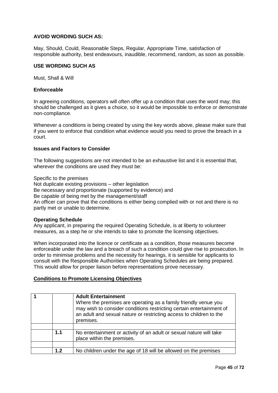# **AVOID WORDING SUCH AS:**

May, Should, Could, Reasonable Steps, Regular, Appropriate Time, satisfaction of responsible authority, best endeavours, inaudible, recommend, random, as soon as possible.

# **USE WORDING SUCH AS**

Must, Shall & Will

# **Enforceable**

In agreeing conditions, operators will often offer up a condition that uses the word may; this should be challenged as it gives a choice, so it would be impossible to enforce or demonstrate non-compliance.

Whenever a conditions is being created by using the key words above, please make sure that if you went to enforce that condition what evidence would you need to prove the breach in a court.

#### **Issues and Factors to Consider**

The following suggestions are not intended to be an exhaustive list and it is essential that, wherever the conditions are used they must be:

Specific to the premises

Not duplicate existing provisions – other legislation Be necessary and proportionate (supported by evidence) and Be capable of being met by the management/staff An officer can prove that the conditions is either being complied with or not and there is no partly met or unable to determine.

#### **Operating Schedule**

Any applicant, in preparing the required Operating Schedule, is at liberty to volunteer measures, as a step he or she intends to take to promote the licensing objectives.

When incorporated into the licence or certificate as a condition, those measures become enforceable under the law and a breach of such a condition could give rise to prosecution. In order to minimise problems and the necessity for hearings, it is sensible for applicants to consult with the Responsible Authorities when Operating Schedules are being prepared. This would allow for proper liaison before representations prove necessary.

# **Conditions to Promote Licensing Objectives**

|     | <b>Adult Entertainment</b><br>Where the premises are operating as a family friendly venue you<br>may wish to consider conditions restricting certain entertainment of<br>an adult and sexual nature or restricting access to children to the<br>premises. |
|-----|-----------------------------------------------------------------------------------------------------------------------------------------------------------------------------------------------------------------------------------------------------------|
|     |                                                                                                                                                                                                                                                           |
| 1.1 | No entertainment or activity of an adult or sexual nature will take<br>place within the premises.                                                                                                                                                         |
|     |                                                                                                                                                                                                                                                           |
| 1.2 | No children under the age of 18 will be allowed on the premises                                                                                                                                                                                           |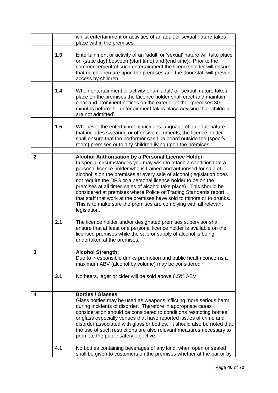|              |       | whilst entertainment or activities of an adult or sexual nature takes                                                                                                                                                                                                                                                                                                                                                                                                                                                                                                                                                                           |
|--------------|-------|-------------------------------------------------------------------------------------------------------------------------------------------------------------------------------------------------------------------------------------------------------------------------------------------------------------------------------------------------------------------------------------------------------------------------------------------------------------------------------------------------------------------------------------------------------------------------------------------------------------------------------------------------|
|              |       | place within the premises.                                                                                                                                                                                                                                                                                                                                                                                                                                                                                                                                                                                                                      |
|              | $1.3$ | Entertainment or activity of an 'adult' or 'sexual' nature will take place<br>on {state day} between {start time} and {end time}. Prior to the<br>commencement of such entertainment the licence holder will ensure<br>that no children are upon the premises and the door staff will prevent<br>access by children.                                                                                                                                                                                                                                                                                                                            |
|              | 1.4   | When entertainment or activity of an 'adult' or 'sexual' nature takes<br>place on the premises the Licence holder shall erect and maintain<br>clear and prominent notices on the exterior of their premises 30<br>minutes before the entertainment takes place advising that 'children<br>are not admitted'.                                                                                                                                                                                                                                                                                                                                    |
|              | 1.5   | Whenever the entertainment includes language of an adult nature<br>that includes swearing or offensive comments, the licence holder<br>shall ensure that the performer can't be heard outside the {specify<br>room} premises or to any children living upon the premises.                                                                                                                                                                                                                                                                                                                                                                       |
| $\mathbf{2}$ |       | Alcohol Authorisation by a Personal Licence Holder<br>In special circumstances you may wish to attach a condition that a<br>personal licence holder who is trained and authorised for sale of<br>alcohol is on the premises at every sale of alcohol (legislation does<br>not require the DPS or a personal licence holder to be on the<br>premises at all times sales of alcohol take place). This should be<br>considered at premises where Police or Trading Standards report<br>that staff that work at the premises have sold to minors or to drunks.<br>This is to make sure the premises are complying with all relevant<br>legislation. |
|              | 2.1   | The licence holder and/or designated premises supervisor shall<br>ensure that at least one personal licence holder is available on the<br>licensed premises while the sale or supply of alcohol is being<br>undertaken at the premises.                                                                                                                                                                                                                                                                                                                                                                                                         |
| 3            |       | <b>Alcohol Strength</b><br>Due to irresponsible drinks promotion and public health concerns a<br>maximum ABV (alcohol by volume) may be considered                                                                                                                                                                                                                                                                                                                                                                                                                                                                                              |
|              | 3.1   | No beers, lager or cider will be sold above 6.5% ABV                                                                                                                                                                                                                                                                                                                                                                                                                                                                                                                                                                                            |
|              |       |                                                                                                                                                                                                                                                                                                                                                                                                                                                                                                                                                                                                                                                 |
| 4            |       | <b>Bottles / Glasses</b><br>Glass bottles may be used as weapons inflicting more serious harm<br>during incidents of disorder. Therefore in appropriate cases<br>consideration should be considered to conditions restricting bottles<br>or glass especially venues that have reported issues of crime and<br>disorder associated with glass or bottles. It should also be noted that<br>the use of such restrictions are also relevant measures necessary to<br>promote the public safety objective.                                                                                                                                           |
|              | 4.1   | No bottles containing beverages of any kind, when open or sealed<br>shall be given to customers on the premises whether at the bar or by                                                                                                                                                                                                                                                                                                                                                                                                                                                                                                        |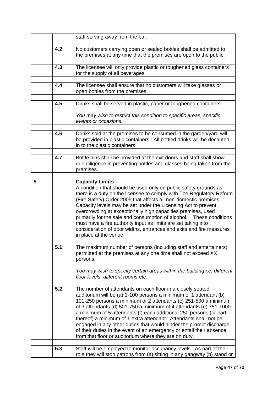|   |     | staff serving away from the bar.                                                                                                                                                                                                                                                                                                                                                                                                                                                                                                                                                                                          |
|---|-----|---------------------------------------------------------------------------------------------------------------------------------------------------------------------------------------------------------------------------------------------------------------------------------------------------------------------------------------------------------------------------------------------------------------------------------------------------------------------------------------------------------------------------------------------------------------------------------------------------------------------------|
|   | 4.2 | No customers carrying open or sealed bottles shall be admitted to<br>the premises at any time that the premises are open to the public.                                                                                                                                                                                                                                                                                                                                                                                                                                                                                   |
|   | 4.3 | The licensee will only provide plastic or toughened glass containers<br>for the supply of all beverages.                                                                                                                                                                                                                                                                                                                                                                                                                                                                                                                  |
|   | 4.4 | The licensee shall ensure that no customers will take glasses or<br>open bottles from the premises.                                                                                                                                                                                                                                                                                                                                                                                                                                                                                                                       |
|   | 4.5 | Drinks shall be served in plastic, paper or toughened containers.<br>You may wish to restrict this condition to specific areas, specific<br>events or occasions.                                                                                                                                                                                                                                                                                                                                                                                                                                                          |
|   | 4.6 | Drinks sold at the premises to be consumed in the garden/yard will<br>be provided in plastic containers. All bottled drinks will be decanted<br>in to the plastic containers.                                                                                                                                                                                                                                                                                                                                                                                                                                             |
|   | 4.7 | Bottle bins shall be provided at the exit doors and staff shall show<br>due diligence in preventing bottles and glasses being taken from the<br>premises.                                                                                                                                                                                                                                                                                                                                                                                                                                                                 |
| 5 |     | <b>Capacity Limits</b><br>A condition that should be used only on public safety grounds as<br>there is a duty on the licensee to comply with The Regulatory Reform<br>(Fire Safety) Order 2005 that affects all non-domestic premises.<br>Capacity levels may be set under the Licensing Act to prevent<br>overcrowding at exceptionally high capacities premises, used<br>primarily for the sale and consumption of alcohol.  These conditions<br>must have a fire authority input as limits are set taking into<br>consideration of door widths, entrances and exits and fire measures<br>in place at the venue.        |
|   | 5.1 | The maximum number of persons (including staff and entertainers)<br>permitted at the premises at any one time shall not exceed XX<br>persons.<br>You may wish to specify certain areas within the building i.e. different<br>floor levels, different rooms etc.                                                                                                                                                                                                                                                                                                                                                           |
|   | 5.2 | The number of attendants on each floor in a closely seated<br>auditorium will be (a) 1-100 persons a minimum of 1 attendant (b)<br>101-250 persons a minimum of 2 attendants (c) 251-500 a minimum<br>of 3 attendants (d) 501-750 a minimum of 4 attendants (e) 751-1000<br>a minimum of 5 attendants (f) each additional 250 persons (or part<br>thereof) a minimum of 1 extra attendant. Attendants shall not be<br>engaged in any other duties that would hinder the prompt discharge<br>of their duties in the event of an emergency or entail their absence<br>from that floor or auditorium where they are on duty. |
|   | 5.3 | Staff will be employed to monitor occupancy levels. As part of their<br>role they will stop patrons from (a) sitting in any gangway (b) stand or                                                                                                                                                                                                                                                                                                                                                                                                                                                                          |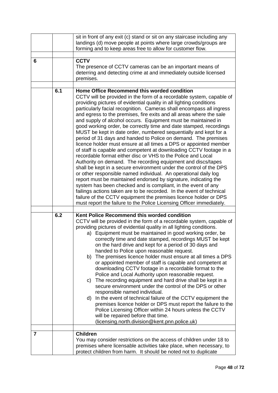|   |     | sit in front of any exit (c) stand or sit on any staircase including any<br>landings (d) move people at points where large crowds/groups are<br>forming and to keep areas free to allow for customer flow.                                                                                                                                                                                                                                                                                                                                                                                                                                                                                                                                                                                                                                                                                                                                                                                                                                                                                                                                                                                                                                                                                                                                                                                         |
|---|-----|----------------------------------------------------------------------------------------------------------------------------------------------------------------------------------------------------------------------------------------------------------------------------------------------------------------------------------------------------------------------------------------------------------------------------------------------------------------------------------------------------------------------------------------------------------------------------------------------------------------------------------------------------------------------------------------------------------------------------------------------------------------------------------------------------------------------------------------------------------------------------------------------------------------------------------------------------------------------------------------------------------------------------------------------------------------------------------------------------------------------------------------------------------------------------------------------------------------------------------------------------------------------------------------------------------------------------------------------------------------------------------------------------|
| 6 |     | <b>CCTV</b>                                                                                                                                                                                                                                                                                                                                                                                                                                                                                                                                                                                                                                                                                                                                                                                                                                                                                                                                                                                                                                                                                                                                                                                                                                                                                                                                                                                        |
|   |     | The presence of CCTV cameras can be an important means of<br>deterring and detecting crime at and immediately outside licensed<br>premises.                                                                                                                                                                                                                                                                                                                                                                                                                                                                                                                                                                                                                                                                                                                                                                                                                                                                                                                                                                                                                                                                                                                                                                                                                                                        |
|   |     |                                                                                                                                                                                                                                                                                                                                                                                                                                                                                                                                                                                                                                                                                                                                                                                                                                                                                                                                                                                                                                                                                                                                                                                                                                                                                                                                                                                                    |
|   | 6.1 | Home Office Recommend this worded condition<br>CCTV will be provided in the form of a recordable system, capable of<br>providing pictures of evidential quality in all lighting conditions<br>particularly facial recognition. Cameras shall encompass all ingress<br>and egress to the premises, fire exits and all areas where the sale<br>and supply of alcohol occurs. Equipment must be maintained in<br>good working order, be correctly time and date stamped, recordings<br>MUST be kept in date order, numbered sequentially and kept for a<br>period of 31 days and handed to Police on demand. The premises<br>licence holder must ensure at all times a DPS or appointed member<br>of staff is capable and competent at downloading CCTV footage in a<br>recordable format either disc or VHS to the Police and Local<br>Authority on demand. The recording equipment and discs/tapes<br>shall be kept in a secure environment under the control of the DPS<br>or other responsible named individual. An operational daily log<br>report must be maintained endorsed by signature, indicating the<br>system has been checked and is compliant, in the event of any<br>failings actions taken are to be recorded. In the event of technical<br>failure of the CCTV equipment the premises licence holder or DPS<br>must report the failure to the Police Licensing Officer immediately. |
|   | 6.2 | Kent Police Recommend this worded condition                                                                                                                                                                                                                                                                                                                                                                                                                                                                                                                                                                                                                                                                                                                                                                                                                                                                                                                                                                                                                                                                                                                                                                                                                                                                                                                                                        |
|   |     | CCTV will be provided in the form of a recordable system, capable of<br>providing pictures of evidential quality in all lighting conditions.<br>a) Equipment must be maintained in good working order, be<br>correctly time and date stamped, recordings MUST be kept<br>on the hard drive and kept for a period of 30 days and<br>handed to Police upon reasonable request.<br>b) The premises licence holder must ensure at all times a DPS<br>or appointed member of staff is capable and competent at<br>downloading CCTV footage in a recordable format to the<br>Police and Local Authority upon reasonable request.<br>The recording equipment and hard drive shall be kept in a<br>C)<br>secure environment under the control of the DPS or other<br>responsible named individual.<br>d) In the event of technical failure of the CCTV equipment the<br>premises licence holder or DPS must report the failure to the<br>Police Licensing Officer within 24 hours unless the CCTV<br>will be repaired before that time.<br>(licensing.north.division@kent.pnn.police.uk)                                                                                                                                                                                                                                                                                                                   |
|   |     |                                                                                                                                                                                                                                                                                                                                                                                                                                                                                                                                                                                                                                                                                                                                                                                                                                                                                                                                                                                                                                                                                                                                                                                                                                                                                                                                                                                                    |
| 7 |     | <b>Children</b><br>You may consider restrictions on the access of children under 18 to<br>premises where licensable activities take place, when necessary, to<br>protect children from harm. It should be noted not to duplicate                                                                                                                                                                                                                                                                                                                                                                                                                                                                                                                                                                                                                                                                                                                                                                                                                                                                                                                                                                                                                                                                                                                                                                   |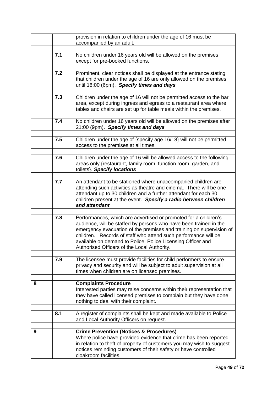|   |     | provision in relation to children under the age of 16 must be<br>accompanied by an adult.                                                                                                                                                                                                                                                                                                   |
|---|-----|---------------------------------------------------------------------------------------------------------------------------------------------------------------------------------------------------------------------------------------------------------------------------------------------------------------------------------------------------------------------------------------------|
|   |     |                                                                                                                                                                                                                                                                                                                                                                                             |
|   | 7.1 | No children under 16 years old will be allowed on the premises<br>except for pre-booked functions.                                                                                                                                                                                                                                                                                          |
|   |     |                                                                                                                                                                                                                                                                                                                                                                                             |
|   | 7.2 | Prominent, clear notices shall be displayed at the entrance stating<br>that children under the age of 16 are only allowed on the premises<br>until 18:00 (6pm). Specify times and days                                                                                                                                                                                                      |
|   | 7.3 | Children under the age of 16 will not be permitted access to the bar<br>area, except during ingress and egress to a restaurant area where<br>tables and chairs are set up for table meals within the premises.                                                                                                                                                                              |
|   | 7.4 | No children under 16 years old will be allowed on the premises after<br>21:00 (9pm). Specify times and days                                                                                                                                                                                                                                                                                 |
|   | 7.5 | Children under the age of {specify age 16/18} will not be permitted<br>access to the premises at all times.                                                                                                                                                                                                                                                                                 |
|   | 7.6 | Children under the age of 16 will be allowed access to the following<br>areas only {restaurant, family room, function room, garden, and<br>toilets}. Specify locations                                                                                                                                                                                                                      |
|   |     |                                                                                                                                                                                                                                                                                                                                                                                             |
|   | 7.7 | An attendant to be stationed where unaccompanied children are<br>attending such activities as theatre and cinema. There will be one<br>attendant up to 30 children and a further attendant for each 30<br>children present at the event. Specify a radio between children<br>and attendant                                                                                                  |
|   |     |                                                                                                                                                                                                                                                                                                                                                                                             |
|   | 7.8 | Performances, which are advertised or promoted for a children's<br>audience, will be staffed by persons who have been trained in the<br>emergency evacuation of the premises and training on supervision of<br>children. Records of staff who attend such performance will be<br>available on demand to Police. Police Licensing Officer and<br>Authorised Officers of the Local Authority. |
|   |     |                                                                                                                                                                                                                                                                                                                                                                                             |
|   | 7.9 | The licensee must provide facilities for child performers to ensure<br>privacy and security and will be subject to adult supervision at all<br>times when children are on licensed premises.                                                                                                                                                                                                |
|   |     |                                                                                                                                                                                                                                                                                                                                                                                             |
| 8 |     | <b>Complaints Procedure</b><br>Interested parties may raise concerns within their representation that<br>they have called licensed premises to complain but they have done<br>nothing to deal with their complaint.                                                                                                                                                                         |
|   | 8.1 | A register of complaints shall be kept and made available to Police<br>and Local Authority Officers on request.                                                                                                                                                                                                                                                                             |
|   |     |                                                                                                                                                                                                                                                                                                                                                                                             |
| 9 |     | <b>Crime Prevention (Notices &amp; Procedures)</b><br>Where police have provided evidence that crime has been reported<br>in relation to theft of property of customers you may wish to suggest<br>notices reminding customers of their safety or have controlled<br>cloakroom facilities.                                                                                                  |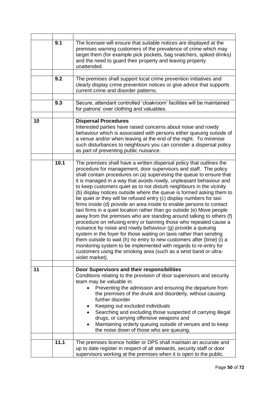|    | 9.1  | The licensee will ensure that suitable notices are displayed at the<br>premises warning customers of the prevalence of crime which may<br>target them (for example pick pockets, bag snatchers, spiked drinks)<br>and the need to guard their property and leaving property<br>unattended.                                                                                                                                                                                                                                                                                                                                                                                                                                                                                                                                                                                                                                                                                                                                                                                                                                                                                             |
|----|------|----------------------------------------------------------------------------------------------------------------------------------------------------------------------------------------------------------------------------------------------------------------------------------------------------------------------------------------------------------------------------------------------------------------------------------------------------------------------------------------------------------------------------------------------------------------------------------------------------------------------------------------------------------------------------------------------------------------------------------------------------------------------------------------------------------------------------------------------------------------------------------------------------------------------------------------------------------------------------------------------------------------------------------------------------------------------------------------------------------------------------------------------------------------------------------------|
|    |      |                                                                                                                                                                                                                                                                                                                                                                                                                                                                                                                                                                                                                                                                                                                                                                                                                                                                                                                                                                                                                                                                                                                                                                                        |
|    | 9.2  | The premises shall support local crime prevention initiatives and<br>clearly display crime prevention notices or give advice that supports<br>current crime and disorder patterns.                                                                                                                                                                                                                                                                                                                                                                                                                                                                                                                                                                                                                                                                                                                                                                                                                                                                                                                                                                                                     |
|    | 9.3  | Secure, attendant controlled 'cloakroom' facilities will be maintained<br>for patrons' over clothing and valuables.                                                                                                                                                                                                                                                                                                                                                                                                                                                                                                                                                                                                                                                                                                                                                                                                                                                                                                                                                                                                                                                                    |
| 10 |      | <b>Dispersal Procedures</b><br>Interested parties have raised concerns about noise and rowdy<br>behaviour which is associated with persons either queuing outside of<br>a venue and/or when leaving at the end of the night. To minimise<br>such disturbances to neighbours you can consider a dispersal policy<br>as part of preventing public nuisance.                                                                                                                                                                                                                                                                                                                                                                                                                                                                                                                                                                                                                                                                                                                                                                                                                              |
|    |      |                                                                                                                                                                                                                                                                                                                                                                                                                                                                                                                                                                                                                                                                                                                                                                                                                                                                                                                                                                                                                                                                                                                                                                                        |
|    | 10.1 | The premises shall have a written dispersal policy that outlines the<br>procedure for management, door supervisors and staff. The policy<br>shall contain procedures on (a) supervising the queue to ensure that<br>it is managed in a way that avoids rowdy, unpleasant behaviour and<br>to keep customers quiet as to not disturb neighbours in the vicinity<br>(b) display notices outside where the queue is formed asking them to<br>be quiet or they will be refused entry (c) display numbers for taxi<br>firms inside (d) provide an area inside to enable persons to contact<br>taxi firms in a quiet location rather than go outside (e) Move people<br>away from the premises who are standing around talking to others (f)<br>procedure on refusing entry or banning those who repeated cause a<br>nuisance by noise and rowdy behaviour (g) provide a queuing<br>system in the foyer for those waiting on taxis rather than sending<br>them outside to wait (h) no entry to new customers after ${time}$ (i) a<br>monitoring system to be implemented with regards to re-entry for<br>customers using the smoking area (such as a wrist band or ultra-<br>violet market). |
| 11 |      | Door Supervisors and their responsibilities<br>Conditions relating to the provision of door supervisors and security<br>team may be valuable in:<br>Preventing the admission and ensuring the departure from<br>the premises of the drunk and disorderly, without causing<br>further disorder<br>Keeping out excluded individuals<br>Searching and excluding those suspected of carrying illegal<br>drugs, or carrying offensive weapons and<br>Maintaining orderly queuing outside of venues and to keep<br>the noise down of those who are queuing.                                                                                                                                                                                                                                                                                                                                                                                                                                                                                                                                                                                                                                  |
|    | 11.1 |                                                                                                                                                                                                                                                                                                                                                                                                                                                                                                                                                                                                                                                                                                                                                                                                                                                                                                                                                                                                                                                                                                                                                                                        |
|    |      | The premises licence holder or DPS shall maintain an accurate and<br>up to date register in respect of all stewards, security staff or door<br>supervisors working at the premises when it is open to the public.                                                                                                                                                                                                                                                                                                                                                                                                                                                                                                                                                                                                                                                                                                                                                                                                                                                                                                                                                                      |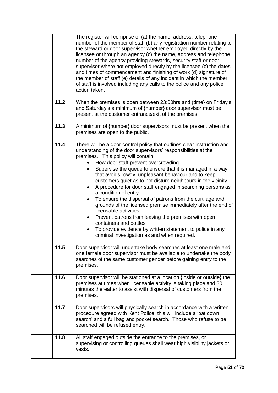|      | The register will comprise of (a) the name, address, telephone<br>number of the member of staff (b) any registration number relating to<br>the steward or door supervisor whether employed directly by the<br>licensee or through an agency (c) the name, address and telephone<br>number of the agency providing stewards, security staff or door<br>supervisor where not employed directly by the licensee (c) the dates<br>and times of commencement and finishing of work (d) signature of<br>the member of staff (e) details of any incident in which the member<br>of staff is involved including any calls to the police and any police<br>action taken.                                                                                                                                                                                      |
|------|------------------------------------------------------------------------------------------------------------------------------------------------------------------------------------------------------------------------------------------------------------------------------------------------------------------------------------------------------------------------------------------------------------------------------------------------------------------------------------------------------------------------------------------------------------------------------------------------------------------------------------------------------------------------------------------------------------------------------------------------------------------------------------------------------------------------------------------------------|
| 11.2 | When the premises is open between 23:00hrs and {time} on Friday's<br>and Saturday's a minimum of {number} door supervisor must be<br>present at the customer entrance/exit of the premises.                                                                                                                                                                                                                                                                                                                                                                                                                                                                                                                                                                                                                                                          |
| 11.3 | A minimum of {number} door supervisors must be present when the<br>premises are open to the public.                                                                                                                                                                                                                                                                                                                                                                                                                                                                                                                                                                                                                                                                                                                                                  |
| 11.4 | There will be a door control policy that outlines clear instruction and<br>understanding of the door supervisors' responsibilities at the<br>premises. This policy will contain<br>How door staff prevent overcrowding<br>Supervise the queue to ensure that it is managed in a way<br>that avoids rowdy, unpleasant behaviour and to keep<br>customers quiet as to not disturb neighbours in the vicinity<br>A procedure for door staff engaged in searching persons as<br>a condition of entry<br>To ensure the dispersal of patrons from the curtilage and<br>grounds of the licensed premise immediately after the end of<br>licensable activities<br>Prevent patrons from leaving the premises with open<br>containers and bottles<br>To provide evidence by written statement to police in any<br>criminal investigation as and when required. |
| 11.5 | Door supervisor will undertake body searches at least one male and<br>one female door supervisor must be available to undertake the body<br>searches of the same customer gender before gaining entry to the<br>premises.                                                                                                                                                                                                                                                                                                                                                                                                                                                                                                                                                                                                                            |
| 11.6 | Door supervisor will be stationed at a location {inside or outside} the<br>premises at times when licensable activity is taking place and 30<br>minutes thereafter to assist with dispersal of customers from the<br>premises.                                                                                                                                                                                                                                                                                                                                                                                                                                                                                                                                                                                                                       |
| 11.7 | Door supervisors will physically search in accordance with a written<br>procedure agreed with Kent Police, this will include a 'pat down<br>search' and a full bag and pocket search. Those who refuse to be<br>searched will be refused entry.                                                                                                                                                                                                                                                                                                                                                                                                                                                                                                                                                                                                      |
| 11.8 | All staff engaged outside the entrance to the premises, or<br>supervising or controlling queues shall wear high visibility jackets or<br>vests.                                                                                                                                                                                                                                                                                                                                                                                                                                                                                                                                                                                                                                                                                                      |
|      |                                                                                                                                                                                                                                                                                                                                                                                                                                                                                                                                                                                                                                                                                                                                                                                                                                                      |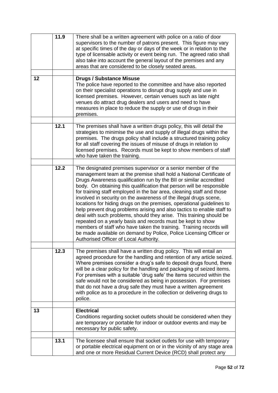|    | 11.9 | There shall be a written agreement with police on a ratio of door<br>supervisors to the number of patrons present. This figure may vary<br>at specific times of the day or days of the week or in relation to the<br>type of licensable activity or event being run. The agreed ratio shall<br>also take into account the general layout of the premises and any<br>areas that are considered to be closely seated areas.                                                                                                                                                                                                                                                                                                                                                                                                                                                                                        |
|----|------|------------------------------------------------------------------------------------------------------------------------------------------------------------------------------------------------------------------------------------------------------------------------------------------------------------------------------------------------------------------------------------------------------------------------------------------------------------------------------------------------------------------------------------------------------------------------------------------------------------------------------------------------------------------------------------------------------------------------------------------------------------------------------------------------------------------------------------------------------------------------------------------------------------------|
|    |      |                                                                                                                                                                                                                                                                                                                                                                                                                                                                                                                                                                                                                                                                                                                                                                                                                                                                                                                  |
| 12 |      | <b>Drugs / Substance Misuse</b><br>The police have reported to the committee and have also reported<br>on their specialist operations to disrupt drug supply and use in<br>licensed premises. However, certain venues such as late night<br>venues do attract drug dealers and users and need to have<br>measures in place to reduce the supply or use of drugs in their<br>premises.                                                                                                                                                                                                                                                                                                                                                                                                                                                                                                                            |
|    | 12.1 | The premises shall have a written drugs policy, this will detail the                                                                                                                                                                                                                                                                                                                                                                                                                                                                                                                                                                                                                                                                                                                                                                                                                                             |
|    |      | strategies to minimise the use and supply of illegal drugs within the<br>premises. The drugs policy shall include a structured training policy<br>for all staff covering the issues of misuse of drugs in relation to<br>licensed premises. Records must be kept to show members of staff<br>who have taken the training.                                                                                                                                                                                                                                                                                                                                                                                                                                                                                                                                                                                        |
|    |      |                                                                                                                                                                                                                                                                                                                                                                                                                                                                                                                                                                                                                                                                                                                                                                                                                                                                                                                  |
|    | 12.2 | The designated premises supervisor or a senior member of the<br>management team at the premise shall hold a National Certificate of<br>Drugs Awareness qualification run by the BII or similar accredited<br>body. On obtaining this qualification that person will be responsible<br>for training staff employed in the bar area, cleaning staff and those<br>involved in security on the awareness of the illegal drugs scene,<br>locations for hiding drugs on the premises, operational guidelines to<br>help prevent drug problems arising and also tactics to enable staff to<br>deal with such problems, should they arise. This training should be<br>repeated on a yearly basis and records must be kept to show<br>members of staff who have taken the training. Training records will<br>be made available on demand by Police, Police Licensing Officer or<br>Authorised Officer of Local Authority. |
|    | 12.3 | The premises shall have a written drug policy. This will entail an<br>agreed procedure for the handling and retention of any article seized.<br>Where premises consider a drug's safe to deposit drugs found, there<br>will be a clear policy for the handling and packaging of seized items.<br>For premises with a suitable 'drug safe' the items secured within the<br>safe would not be considered as being in possession. For premises<br>that do not have a drug safe they must have a written agreement<br>with police as to a procedure in the collection or delivering drugs to<br>police.                                                                                                                                                                                                                                                                                                              |
| 13 |      | <b>Electrical</b>                                                                                                                                                                                                                                                                                                                                                                                                                                                                                                                                                                                                                                                                                                                                                                                                                                                                                                |
|    |      | Conditions regarding socket outlets should be considered when they<br>are temporary or portable for indoor or outdoor events and may be<br>necessary for public safety.                                                                                                                                                                                                                                                                                                                                                                                                                                                                                                                                                                                                                                                                                                                                          |
|    |      |                                                                                                                                                                                                                                                                                                                                                                                                                                                                                                                                                                                                                                                                                                                                                                                                                                                                                                                  |
|    | 13.1 | The licensee shall ensure that socket outlets for use with temporary<br>or portable electrical equipment on or in the vicinity of any stage area<br>and one or more Residual Current Device (RCD) shall protect any                                                                                                                                                                                                                                                                                                                                                                                                                                                                                                                                                                                                                                                                                              |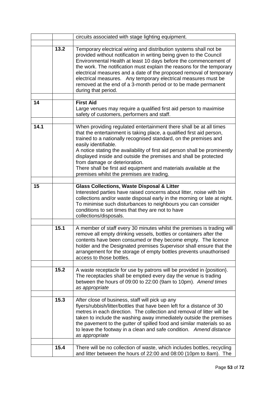|      |        | circuits associated with stage lighting equipment.                                                                                                                                                                                                                                                                                                                                                                                                                                                                                           |  |  |
|------|--------|----------------------------------------------------------------------------------------------------------------------------------------------------------------------------------------------------------------------------------------------------------------------------------------------------------------------------------------------------------------------------------------------------------------------------------------------------------------------------------------------------------------------------------------------|--|--|
|      | $13.2$ | Temporary electrical wiring and distribution systems shall not be<br>provided without notification in writing being given to the Council<br>Environmental Health at least 10 days before the commencement of<br>the work. The notification must explain the reasons for the temporary<br>electrical measures and a date of the proposed removal of temporary<br>electrical measures. Any temporary electrical measures must be<br>removed at the end of a 3-month period or to be made permanent<br>during that period.                      |  |  |
| 14   |        | <b>First Aid</b><br>Large venues may require a qualified first aid person to maximise<br>safety of customers, performers and staff.                                                                                                                                                                                                                                                                                                                                                                                                          |  |  |
| 14.1 |        | When providing regulated entertainment there shall be at all times<br>that the entertainment is taking place, a qualified first aid person,<br>trained to a nationally recognised standard, on the premises and<br>easily identifiable.<br>A notice stating the availability of first aid person shall be prominently<br>displayed inside and outside the premises and shall be protected<br>from damage or deterioration.<br>There shall be first aid equipment and materials available at the<br>premises whilst the premises are trading. |  |  |
| 15   |        | <b>Glass Collections, Waste Disposal &amp; Litter</b><br>Interested parties have raised concerns about litter, noise with bin<br>collections and/or waste disposal early in the morning or late at night.<br>To minimise such disturbances to neighbours you can consider<br>conditions to set times that they are not to have<br>collections/disposals.                                                                                                                                                                                     |  |  |
|      | 15.1   | A member of staff every 30 minutes whilst the premises is trading will<br>remove all empty drinking vessels, bottles or containers after the<br>contents have been consumed or they become empty. The licence<br>holder and the Designated premises Supervisor shall ensure that the<br>arrangement for the storage of empty bottles prevents unauthorised<br>access to those bottles.                                                                                                                                                       |  |  |
|      | 15.2   | A waste receptacle for use by patrons will be provided in {position}.<br>The receptacles shall be emptied every day the venue is trading<br>between the hours of 09:00 to 22:00 (9am to 10pm). Amend times<br>as appropriate                                                                                                                                                                                                                                                                                                                 |  |  |
|      | 15.3   | After close of business, staff will pick up any<br>flyers/rubbish/litter/bottles that have been left for a distance of 30<br>metres in each direction. The collection and removal of litter will be<br>taken to include the washing away immediately outside the premises<br>the pavement to the gutter of spilled food and similar materials so as<br>to leave the footway in a clean and safe condition. Amend distance<br>as appropriate                                                                                                  |  |  |
|      | 15.4   | There will be no collection of waste, which includes bottles, recycling<br>and litter between the hours of 22:00 and 08:00 (10pm to 8am). The                                                                                                                                                                                                                                                                                                                                                                                                |  |  |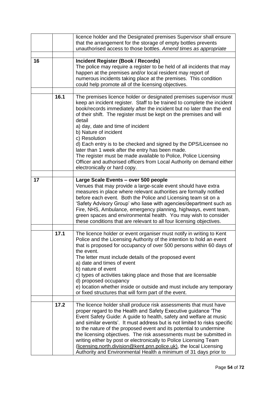|    |      | licence holder and the Designated premises Supervisor shall ensure<br>that the arrangement for the storage of empty bottles prevents                                                                                                                                                                                                                                                                                                                                                                                                                                                                                                                                                      |  |  |  |  |
|----|------|-------------------------------------------------------------------------------------------------------------------------------------------------------------------------------------------------------------------------------------------------------------------------------------------------------------------------------------------------------------------------------------------------------------------------------------------------------------------------------------------------------------------------------------------------------------------------------------------------------------------------------------------------------------------------------------------|--|--|--|--|
|    |      | unauthorised access to those bottles. Amend times as appropriate                                                                                                                                                                                                                                                                                                                                                                                                                                                                                                                                                                                                                          |  |  |  |  |
|    |      |                                                                                                                                                                                                                                                                                                                                                                                                                                                                                                                                                                                                                                                                                           |  |  |  |  |
| 16 |      | <b>Incident Register (Book / Records)</b><br>The police may require a register to be held of all incidents that may<br>happen at the premises and/or local resident may report of<br>numerous incidents taking place at the premises. This condition<br>could help promote all of the licensing objectives.                                                                                                                                                                                                                                                                                                                                                                               |  |  |  |  |
|    | 16.1 | The premises licence holder or designated premises supervisor must<br>keep an incident register. Staff to be trained to complete the incident<br>book/records immediately after the incident but no later than the end<br>of their shift. The register must be kept on the premises and will<br>detail<br>a) day, date and time of incident<br>b) Nature of incident<br>c) Resolution<br>d) Each entry is to be checked and signed by the DPS/Licensee no<br>later than 1 week after the entry has been made.<br>The register must be made available to Police, Police Licensing<br>Officer and authorised officers from Local Authority on demand either<br>electronically or hard copy. |  |  |  |  |
|    |      |                                                                                                                                                                                                                                                                                                                                                                                                                                                                                                                                                                                                                                                                                           |  |  |  |  |
| 17 |      | Large Scale Events - over 500 people<br>Venues that may provide a large-scale event should have extra<br>measures in place where relevant authorities are formally notified<br>before each event. Both the Police and Licensing team sit on a<br>'Safety Advisory Group' who liase with agencies/department such as<br>Fire, NHS, Ambulance, emergency planning, highways, event team,<br>green spaces and environmental health. You may wish to consider<br>these conditions that are relevant to all four licensing objectives.                                                                                                                                                         |  |  |  |  |
|    |      |                                                                                                                                                                                                                                                                                                                                                                                                                                                                                                                                                                                                                                                                                           |  |  |  |  |
|    | 17.1 | The licence holder or event organiser must notify in writing to Kent<br>Police and the Licensing Authority of the intention to hold an event<br>that is proposed for occupancy of over 500 persons within 60 days of<br>the event.<br>The letter must include details of the proposed event<br>a) date and times of event<br>b) nature of event<br>c) types of activities taking place and those that are licensable<br>d) proposed occupancy<br>e) location whether inside or outside and must include any temporary<br>or fixed structures that will form part of the event.                                                                                                            |  |  |  |  |
|    |      |                                                                                                                                                                                                                                                                                                                                                                                                                                                                                                                                                                                                                                                                                           |  |  |  |  |
|    | 17.2 | The licence holder shall produce risk assessments that must have<br>proper regard to the Health and Safety Executive guidance 'The<br>Event Safety Guide: A guide to health, safety and welfare at music<br>and similar events'. It must address but is not limited to risks specific<br>to the nature of the proposed event and its potential to undermine<br>the licensing objectives. The risk assessments must be submitted in<br>writing either by post or electronically to Police Licensing Team<br>(licensing.north.division@kent.pnn.police.uk), the local Licensing<br>Authority and Environmental Health a minimum of 31 days prior to                                         |  |  |  |  |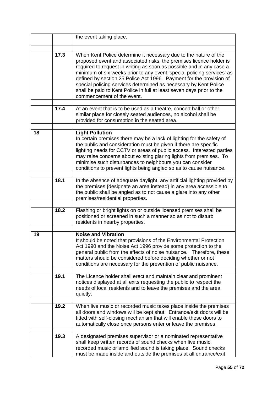|    |      | the event taking place.                                                                                                                                                                                                                                                                                                                                                                                                                                                                                                                     |  |  |  |
|----|------|---------------------------------------------------------------------------------------------------------------------------------------------------------------------------------------------------------------------------------------------------------------------------------------------------------------------------------------------------------------------------------------------------------------------------------------------------------------------------------------------------------------------------------------------|--|--|--|
|    |      |                                                                                                                                                                                                                                                                                                                                                                                                                                                                                                                                             |  |  |  |
|    | 17.3 | When Kent Police determine it necessary due to the nature of the<br>proposed event and associated risks, the premises licence holder is<br>required to request in writing as soon as possible and in any case a<br>minimum of six weeks prior to any event 'special policing services' as<br>defined by section 25 Police Act 1996. Payment for the provision of<br>special policing services determined as necessary by Kent Police<br>shall be paid to Kent Police in full at least seven days prior to the<br>commencement of the event. |  |  |  |
|    | 17.4 | At an event that is to be used as a theatre, concert hall or other                                                                                                                                                                                                                                                                                                                                                                                                                                                                          |  |  |  |
|    |      | similar place for closely seated audiences, no alcohol shall be<br>provided for consumption in the seated area.                                                                                                                                                                                                                                                                                                                                                                                                                             |  |  |  |
|    |      |                                                                                                                                                                                                                                                                                                                                                                                                                                                                                                                                             |  |  |  |
| 18 |      | <b>Light Pollution</b><br>In certain premises there may be a lack of lighting for the safety of<br>the public and consideration must be given if there are specific<br>lighting needs for CCTV or areas of public access. Interested parties<br>may raise concerns about existing glaring lights from premises. To<br>minimise such disturbances to neighbours you can consider<br>conditions to prevent lights being angled so as to cause nuisance.                                                                                       |  |  |  |
|    | 18.1 | In the absence of adequate daylight, any artificial lighting provided by<br>the premises {designate an area instead} in any area accessible to<br>the public shall be angled as to not cause a glare into any other<br>premises/residential properties.                                                                                                                                                                                                                                                                                     |  |  |  |
|    | 18.2 | Flashing or bright lights on or outside licensed premises shall be<br>positioned or screened in such a manner so as not to disturb<br>residents in nearby properties.                                                                                                                                                                                                                                                                                                                                                                       |  |  |  |
|    |      |                                                                                                                                                                                                                                                                                                                                                                                                                                                                                                                                             |  |  |  |
| 19 |      | <b>Noise and Vibration</b><br>It should be noted that provisions of the Environmental Protection<br>Act 1990 and the Noise Act 1996 provide some protection to the<br>general public from the effects of noise nuisance. Therefore, these<br>matters should be considered before deciding whether or not<br>conditions are necessary for the prevention of public nuisance.                                                                                                                                                                 |  |  |  |
|    | 19.1 | The Licence holder shall erect and maintain clear and prominent                                                                                                                                                                                                                                                                                                                                                                                                                                                                             |  |  |  |
|    |      | notices displayed at all exits requesting the public to respect the<br>needs of local residents and to leave the premises and the area<br>quietly.                                                                                                                                                                                                                                                                                                                                                                                          |  |  |  |
|    | 19.2 | When live music or recorded music takes place inside the premises                                                                                                                                                                                                                                                                                                                                                                                                                                                                           |  |  |  |
|    |      | all doors and windows will be kept shut. Entrance/exit doors will be<br>fitted with self-closing mechanism that will enable these doors to<br>automatically close once persons enter or leave the premises.                                                                                                                                                                                                                                                                                                                                 |  |  |  |
|    |      |                                                                                                                                                                                                                                                                                                                                                                                                                                                                                                                                             |  |  |  |
|    | 19.3 | A designated premises supervisor or a nominated representative<br>shall keep written records of sound checks when live music,<br>recorded music or amplified sound is taking place. Sound checks<br>must be made inside and outside the premises at all entrance/exit                                                                                                                                                                                                                                                                       |  |  |  |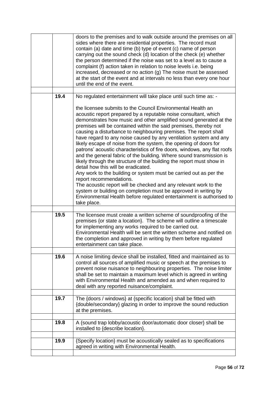|      | doors to the premises and to walk outside around the premises on all<br>sides where there are residential properties. The record must<br>contain (a) date and time (b) type of event (c) name of person<br>carrying out the sound check (d) location of the check (e) whether<br>the person determined if the noise was set to a level as to cause a<br>complaint (f) action taken in relation to noise levels i.e. being<br>increased, decreased or no action (g) The noise must be assessed<br>at the start of the event and at intervals no less than every one hour<br>until the end of the event.                                                                                                                                                                                                                                                                                                                                                                                                                                                                               |  |  |  |
|------|--------------------------------------------------------------------------------------------------------------------------------------------------------------------------------------------------------------------------------------------------------------------------------------------------------------------------------------------------------------------------------------------------------------------------------------------------------------------------------------------------------------------------------------------------------------------------------------------------------------------------------------------------------------------------------------------------------------------------------------------------------------------------------------------------------------------------------------------------------------------------------------------------------------------------------------------------------------------------------------------------------------------------------------------------------------------------------------|--|--|--|
| 19.4 | No regulated entertainment will take place until such time as: -                                                                                                                                                                                                                                                                                                                                                                                                                                                                                                                                                                                                                                                                                                                                                                                                                                                                                                                                                                                                                     |  |  |  |
|      | the licensee submits to the Council Environmental Health an<br>acoustic report prepared by a reputable noise consultant, which<br>demonstrates how music and other amplified sound generated at the<br>premises will be contained within the said premises, thereby not<br>causing a disturbance to neighbouring premises. The report shall<br>have regard to any noise caused by any ventilation system and any<br>likely escape of noise from the system, the opening of doors for<br>patrons' acoustic characteristics of fire doors, windows, any flat roofs<br>and the general fabric of the building. Where sound transmission is<br>likely through the structure of the building the report must show in<br>detail how this will be eradicated.<br>Any work to the building or system must be carried out as per the<br>report recommendations.<br>The acoustic report will be checked and any relevant work to the<br>system or building on completion must be approved in writing by<br>Environmental Health before regulated entertainment is authorised to<br>take place. |  |  |  |
| 19.5 | The licensee must create a written scheme of soundproofing of the                                                                                                                                                                                                                                                                                                                                                                                                                                                                                                                                                                                                                                                                                                                                                                                                                                                                                                                                                                                                                    |  |  |  |
|      | premises {or state a location}. The scheme will outline a timescale<br>for implementing any works required to be carried out.<br>Environmental Health will be sent the written scheme and notified on<br>the completion and approved in writing by them before regulated<br>entertainment can take place.                                                                                                                                                                                                                                                                                                                                                                                                                                                                                                                                                                                                                                                                                                                                                                            |  |  |  |
| 19.6 | A noise limiting device shall be installed, fitted and maintained as to<br>control all sources of amplified music or speech at the premises to<br>prevent noise nuisance to neighbouring properties. The noise limiter<br>shall be set to maintain a maximum level which is agreed in writing<br>with Environmental Health and amended as and when required to<br>deal with any reported nuisance/complaint.                                                                                                                                                                                                                                                                                                                                                                                                                                                                                                                                                                                                                                                                         |  |  |  |
| 19.7 | The {doors / windows} at {specific location} shall be fitted with                                                                                                                                                                                                                                                                                                                                                                                                                                                                                                                                                                                                                                                                                                                                                                                                                                                                                                                                                                                                                    |  |  |  |
|      | {double/secondary} glazing in order to improve the sound reduction<br>at the premises.                                                                                                                                                                                                                                                                                                                                                                                                                                                                                                                                                                                                                                                                                                                                                                                                                                                                                                                                                                                               |  |  |  |
| 19.8 | A {sound trap lobby/acoustic door/automatic door closer} shall be<br>installed to {describe location}.                                                                                                                                                                                                                                                                                                                                                                                                                                                                                                                                                                                                                                                                                                                                                                                                                                                                                                                                                                               |  |  |  |
|      | {Specify location} must be acoustically sealed as to specifications                                                                                                                                                                                                                                                                                                                                                                                                                                                                                                                                                                                                                                                                                                                                                                                                                                                                                                                                                                                                                  |  |  |  |
|      | agreed in writing with Environmental Health.                                                                                                                                                                                                                                                                                                                                                                                                                                                                                                                                                                                                                                                                                                                                                                                                                                                                                                                                                                                                                                         |  |  |  |
|      | 19.9                                                                                                                                                                                                                                                                                                                                                                                                                                                                                                                                                                                                                                                                                                                                                                                                                                                                                                                                                                                                                                                                                 |  |  |  |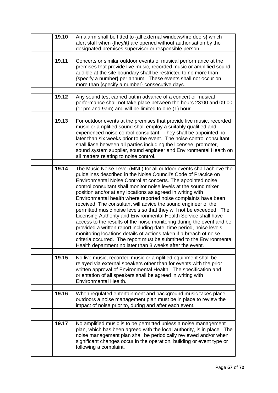| 19.10 | An alarm shall be fitted to {all external windows/fire doors} which<br>alert staff when {they/it} are opened without authorisation by the<br>designated premises supervisor or responsible person.                                                                                                                                                                                                                                                                                                                                                                                                                                                                                                                                                                                                                                                                                                                                                                                 |  |  |  |
|-------|------------------------------------------------------------------------------------------------------------------------------------------------------------------------------------------------------------------------------------------------------------------------------------------------------------------------------------------------------------------------------------------------------------------------------------------------------------------------------------------------------------------------------------------------------------------------------------------------------------------------------------------------------------------------------------------------------------------------------------------------------------------------------------------------------------------------------------------------------------------------------------------------------------------------------------------------------------------------------------|--|--|--|
|       |                                                                                                                                                                                                                                                                                                                                                                                                                                                                                                                                                                                                                                                                                                                                                                                                                                                                                                                                                                                    |  |  |  |
| 19.11 | Concerts or similar outdoor events of musical performance at the<br>premises that provide live music, recorded music or amplified sound<br>audible at the site boundary shall be restricted to no more than<br>{specify a number} per annum. These events shall not occur on<br>more than {specify a number} consecutive days.                                                                                                                                                                                                                                                                                                                                                                                                                                                                                                                                                                                                                                                     |  |  |  |
|       |                                                                                                                                                                                                                                                                                                                                                                                                                                                                                                                                                                                                                                                                                                                                                                                                                                                                                                                                                                                    |  |  |  |
| 19.12 | Any sound test carried out in advance of a concert or musical<br>performance shall not take place between the hours 23:00 and 09:00<br>(11pm and 9am) and will be limited to one (1) hour.                                                                                                                                                                                                                                                                                                                                                                                                                                                                                                                                                                                                                                                                                                                                                                                         |  |  |  |
|       |                                                                                                                                                                                                                                                                                                                                                                                                                                                                                                                                                                                                                                                                                                                                                                                                                                                                                                                                                                                    |  |  |  |
| 19.13 | For outdoor events at the premises that provide live music, recorded<br>music or amplified sound shall employ a suitably qualified and<br>experienced noise control consultant. They shall be appointed no<br>later than six weeks prior to the event. The noise control consultant<br>shall liase between all parties including the licensee, promoter,<br>sound system supplier, sound engineer and Environmental Health on<br>all matters relating to noise control.                                                                                                                                                                                                                                                                                                                                                                                                                                                                                                            |  |  |  |
| 19.14 | The Music Noise Level (MNL) for all outdoor events shall achieve the<br>guidelines described in the Noise Council's Code of Practice on<br>Environmental Noise Control at concerts. The appointed noise<br>control consultant shall monitor noise levels at the sound mixer<br>position and/or at any locations as agreed in writing with<br>Environmental health where reported noise complaints have been<br>received. The consultant will advice the sound engineer of the<br>permitted music noise levels so that they will not be exceeded. The<br>Licensing Authority and Environmental Health Service shall have<br>access to the results of the noise monitoring during the event and be<br>provided a written report including date, time period, noise levels,<br>monitoring locations details of actions taken if a breach of noise<br>criteria occurred. The report must be submitted to the Environmental<br>Health department no later than 3 weeks after the event. |  |  |  |
| 19.15 | No live music, recorded music or amplified equipment shall be<br>relayed via external speakers other than for events with the prior<br>written approval of Environmental Health. The specification and<br>orientation of all speakers shall be agreed in writing with<br><b>Environmental Health.</b>                                                                                                                                                                                                                                                                                                                                                                                                                                                                                                                                                                                                                                                                              |  |  |  |
|       |                                                                                                                                                                                                                                                                                                                                                                                                                                                                                                                                                                                                                                                                                                                                                                                                                                                                                                                                                                                    |  |  |  |
| 19.16 | When regulated entertainment and background music takes place<br>outdoors a noise management plan must be in place to review the<br>impact of noise prior to, during and after each event.                                                                                                                                                                                                                                                                                                                                                                                                                                                                                                                                                                                                                                                                                                                                                                                         |  |  |  |
| 19.17 | No amplified music is to be permitted unless a noise management<br>plan, which has been agreed with the local authority, is in place. The<br>noise management plan shall be periodically reviewed and/or when<br>significant changes occur in the operation, building or event type or<br>following a complaint.                                                                                                                                                                                                                                                                                                                                                                                                                                                                                                                                                                                                                                                                   |  |  |  |
|       |                                                                                                                                                                                                                                                                                                                                                                                                                                                                                                                                                                                                                                                                                                                                                                                                                                                                                                                                                                                    |  |  |  |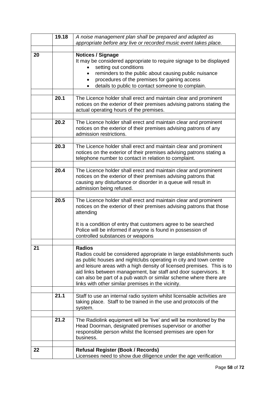|    | 19.18                                                                 | A noise management plan shall be prepared and adapted as                                                                                 |  |  |  |  |
|----|-----------------------------------------------------------------------|------------------------------------------------------------------------------------------------------------------------------------------|--|--|--|--|
|    |                                                                       | appropriate before any live or recorded music event takes place.                                                                         |  |  |  |  |
|    |                                                                       |                                                                                                                                          |  |  |  |  |
| 20 |                                                                       | <b>Notices / Signage</b>                                                                                                                 |  |  |  |  |
|    |                                                                       | It may be considered appropriate to require signage to be displayed                                                                      |  |  |  |  |
|    |                                                                       | setting out conditions                                                                                                                   |  |  |  |  |
|    |                                                                       | reminders to the public about causing public nuisance                                                                                    |  |  |  |  |
|    |                                                                       | procedures of the premises for gaining access                                                                                            |  |  |  |  |
|    |                                                                       | details to public to contact someone to complain.                                                                                        |  |  |  |  |
|    |                                                                       |                                                                                                                                          |  |  |  |  |
|    | 20.1                                                                  | The Licence holder shall erect and maintain clear and prominent                                                                          |  |  |  |  |
|    |                                                                       | notices on the exterior of their premises advising patrons stating the                                                                   |  |  |  |  |
|    |                                                                       | actual operating hours of the premises.                                                                                                  |  |  |  |  |
|    | 20.2                                                                  |                                                                                                                                          |  |  |  |  |
|    |                                                                       | The Licence holder shall erect and maintain clear and prominent<br>notices on the exterior of their premises advising patrons of any     |  |  |  |  |
|    |                                                                       | admission restrictions.                                                                                                                  |  |  |  |  |
|    |                                                                       |                                                                                                                                          |  |  |  |  |
|    | 20.3                                                                  | The Licence holder shall erect and maintain clear and prominent                                                                          |  |  |  |  |
|    |                                                                       | notices on the exterior of their premises advising patrons stating a                                                                     |  |  |  |  |
|    | telephone number to contact in relation to complaint.                 |                                                                                                                                          |  |  |  |  |
|    |                                                                       |                                                                                                                                          |  |  |  |  |
|    | 20.4                                                                  | The Licence holder shall erect and maintain clear and prominent                                                                          |  |  |  |  |
|    |                                                                       | notices on the exterior of their premises advising patrons that                                                                          |  |  |  |  |
|    |                                                                       | causing any disturbance or disorder in a queue will result in                                                                            |  |  |  |  |
|    |                                                                       | admission being refused.                                                                                                                 |  |  |  |  |
|    |                                                                       |                                                                                                                                          |  |  |  |  |
|    | 20.5                                                                  | The Licence holder shall erect and maintain clear and prominent                                                                          |  |  |  |  |
|    | notices on the exterior of their premises advising patrons that those |                                                                                                                                          |  |  |  |  |
|    |                                                                       | attending                                                                                                                                |  |  |  |  |
|    |                                                                       |                                                                                                                                          |  |  |  |  |
|    |                                                                       | It is a condition of entry that customers agree to be searched                                                                           |  |  |  |  |
|    |                                                                       | Police will be informed if anyone is found in possession of                                                                              |  |  |  |  |
|    |                                                                       | controlled substances or weapons                                                                                                         |  |  |  |  |
|    |                                                                       | <b>Radios</b>                                                                                                                            |  |  |  |  |
| 21 |                                                                       |                                                                                                                                          |  |  |  |  |
|    |                                                                       | Radios could be considered appropriate in large establishments such<br>as public houses and nightclubs operating in city and town centre |  |  |  |  |
|    |                                                                       | and leisure areas with a high density of licensed premises. This is to                                                                   |  |  |  |  |
|    |                                                                       | aid links between management, bar staff and door supervisors. It                                                                         |  |  |  |  |
|    |                                                                       | can also be part of a pub watch or similar scheme where there are                                                                        |  |  |  |  |
|    |                                                                       | links with other similar premises in the vicinity.                                                                                       |  |  |  |  |
|    |                                                                       |                                                                                                                                          |  |  |  |  |
|    | 21.1                                                                  | Staff to use an internal radio system whilst licensable activities are                                                                   |  |  |  |  |
|    |                                                                       | taking place. Staff to be trained in the use and protocols of the                                                                        |  |  |  |  |
|    |                                                                       | system.                                                                                                                                  |  |  |  |  |
|    |                                                                       |                                                                                                                                          |  |  |  |  |
|    | 21.2                                                                  | The Radiolink equipment will be 'live' and will be monitored by the                                                                      |  |  |  |  |
|    |                                                                       | Head Doorman, designated premises supervisor or another                                                                                  |  |  |  |  |
|    |                                                                       | responsible person whilst the licensed premises are open for                                                                             |  |  |  |  |
|    |                                                                       | business.                                                                                                                                |  |  |  |  |
|    |                                                                       |                                                                                                                                          |  |  |  |  |
| 22 |                                                                       | <b>Refusal Register (Book / Records)</b>                                                                                                 |  |  |  |  |
|    |                                                                       | Licensees need to show due diligence under the age verification                                                                          |  |  |  |  |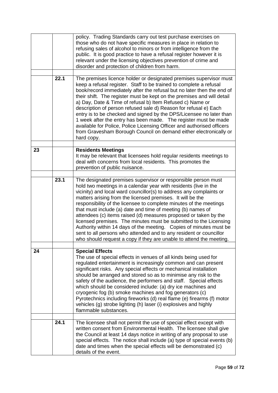|    |      | policy. Trading Standards carry out test purchase exercises on<br>those who do not have specific measures in place in relation to<br>refusing sales of alcohol to minors or from intelligence from the<br>public. It is good practice to have a refusal register however it is<br>relevant under the licensing objectives prevention of crime and<br>disorder and protection of children from harm.                                                                                                                                                                                                                                                                                                                                                                     |  |  |  |
|----|------|-------------------------------------------------------------------------------------------------------------------------------------------------------------------------------------------------------------------------------------------------------------------------------------------------------------------------------------------------------------------------------------------------------------------------------------------------------------------------------------------------------------------------------------------------------------------------------------------------------------------------------------------------------------------------------------------------------------------------------------------------------------------------|--|--|--|
|    | 22.1 | The premises licence holder or designated premises supervisor must<br>keep a refusal register. Staff to be trained to complete a refusal<br>book/record immediately after the refusal but no later then the end of<br>their shift. The register must be kept on the premises and will detail<br>a) Day, Date & Time of refusal b) Item Refused c) Name or<br>description of person refused sale d) Reason for refusal e) Each<br>entry is to be checked and signed by the DPS/Licensee no later than<br>1 week after the entry has been made. The register must be made<br>available for Police, Police Licensing Officer and authorised officers<br>from Gravesham Borough Council on demand either electronically or<br>hard copy.                                    |  |  |  |
| 23 |      | <b>Residents Meetings</b><br>It may be relevant that licensees hold regular residents meetings to<br>deal with concerns from local residents. This promotes the<br>prevention of public nuisance.                                                                                                                                                                                                                                                                                                                                                                                                                                                                                                                                                                       |  |  |  |
|    | 23.1 | The designated premises supervisor or responsible person must<br>hold two meetings in a calendar year with residents (live in the<br>vicinity) and local ward councillor(s) to address any complaints or<br>matters arising from the licensed premises. It will be the<br>responsibility of the licensee to complete minutes of the meetings<br>that must include (a) date and time of meeting (b) names of<br>attendees (c) items raised (d) measures proposed or taken by the<br>licensed premises. The minutes must be submitted to the Licensing<br>Authority within 14 days of the meeting. Copies of minutes must be<br>sent to all persons who attended and to any resident or councillor<br>who should request a copy if they are unable to attend the meeting. |  |  |  |
| 24 |      | <b>Special Effects</b><br>The use of special effects in venues of all kinds being used for<br>regulated entertainment is increasingly common and can present<br>significant risks. Any special effects or mechanical installation<br>should be arranged and stored so as to minimise any risk to the<br>safety of the audience, the performers and staff. Special effects<br>which should be considered include: (a) dry ice machines and<br>cryogenic fog (b) smoke machines and fog generators (c)<br>Pyrotechnics including fireworks (d) real flame (e) firearms (f) motor<br>vehicles (g) strobe lighting (h) laser (i) explosives and highly<br>flammable substances.                                                                                             |  |  |  |
|    | 24.1 | The licensee shall not permit the use of special effect except with<br>written consent from Environmental Health. The licensee shall give<br>the Council at least 14 days notice in writing of any proposal to use<br>special effects. The notice shall include (a) type of special events (b)<br>date and times when the special effects will be demonstrated (c)<br>details of the event.                                                                                                                                                                                                                                                                                                                                                                             |  |  |  |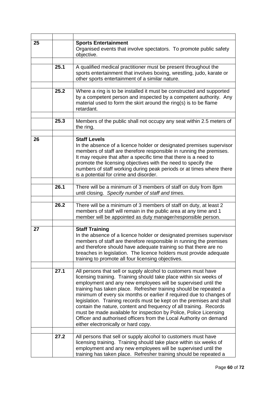| 25 |                                                                                                                                                                                                                                                                                                                                                                                                                            | <b>Sports Entertainment</b><br>Organised events that involve spectators. To promote public safety<br>objective.                                                                                                                                                                                                                                                                                                                                                                                                                                                                                                                                                                    |  |  |  |  |  |
|----|----------------------------------------------------------------------------------------------------------------------------------------------------------------------------------------------------------------------------------------------------------------------------------------------------------------------------------------------------------------------------------------------------------------------------|------------------------------------------------------------------------------------------------------------------------------------------------------------------------------------------------------------------------------------------------------------------------------------------------------------------------------------------------------------------------------------------------------------------------------------------------------------------------------------------------------------------------------------------------------------------------------------------------------------------------------------------------------------------------------------|--|--|--|--|--|
|    | 25.1                                                                                                                                                                                                                                                                                                                                                                                                                       | A qualified medical practitioner must be present throughout the<br>sports entertainment that involves boxing, wrestling, judo, karate or<br>other sports entertainment of a similar nature.                                                                                                                                                                                                                                                                                                                                                                                                                                                                                        |  |  |  |  |  |
|    | 25.2                                                                                                                                                                                                                                                                                                                                                                                                                       | Where a ring is to be installed it must be constructed and supported<br>by a competent person and inspected by a competent authority. Any<br>material used to form the skirt around the ring(s) is to be flame<br>retardant.                                                                                                                                                                                                                                                                                                                                                                                                                                                       |  |  |  |  |  |
|    | 25.3                                                                                                                                                                                                                                                                                                                                                                                                                       | Members of the public shall not occupy any seat within 2.5 meters of<br>the ring.                                                                                                                                                                                                                                                                                                                                                                                                                                                                                                                                                                                                  |  |  |  |  |  |
| 26 | <b>Staff Levels</b><br>In the absence of a licence holder or designated premises supervisor<br>members of staff are therefore responsible in running the premises.<br>It may require that after a specific time that there is a need to<br>promote the licensing objectives with the need to specify the<br>numbers of staff working during peak periods or at times where there<br>is a potential for crime and disorder. |                                                                                                                                                                                                                                                                                                                                                                                                                                                                                                                                                                                                                                                                                    |  |  |  |  |  |
|    | 26.1                                                                                                                                                                                                                                                                                                                                                                                                                       | There will be a minimum of 3 members of staff on duty from 8pm<br>until closing. Specify number of staff and times.                                                                                                                                                                                                                                                                                                                                                                                                                                                                                                                                                                |  |  |  |  |  |
|    | 26.2                                                                                                                                                                                                                                                                                                                                                                                                                       | There will be a minimum of 3 members of staff on duty, at least 2<br>members of staff will remain in the public area at any time and 1<br>member will be appointed as duty manager/responsible person.                                                                                                                                                                                                                                                                                                                                                                                                                                                                             |  |  |  |  |  |
| 27 |                                                                                                                                                                                                                                                                                                                                                                                                                            | <b>Staff Training</b><br>In the absence of a licence holder or designated premises supervisor<br>members of staff are therefore responsible in running the premises<br>and therefore should have adequate training so that there are no<br>breaches in legislation. The licence holders must provide adequate<br>training to promote all four licensing objectives.                                                                                                                                                                                                                                                                                                                |  |  |  |  |  |
|    | 27.1                                                                                                                                                                                                                                                                                                                                                                                                                       | All persons that sell or supply alcohol to customers must have<br>licensing training. Training should take place within six weeks of<br>employment and any new employees will be supervised until the<br>training has taken place. Refresher training should be repeated a<br>minimum of every six months or earlier if required due to changes of<br>legislation. Training records must be kept on the premises and shall<br>contain the nature, content and frequency of all training. Records<br>must be made available for inspection by Police, Police Licensing<br>Officer and authorised officers from the Local Authority on demand<br>either electronically or hard copy. |  |  |  |  |  |
|    | 27.2                                                                                                                                                                                                                                                                                                                                                                                                                       | All persons that sell or supply alcohol to customers must have<br>licensing training. Training should take place within six weeks of<br>employment and any new employees will be supervised until the<br>training has taken place. Refresher training should be repeated a                                                                                                                                                                                                                                                                                                                                                                                                         |  |  |  |  |  |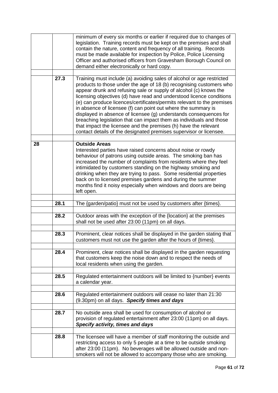|    |      | minimum of every six months or earlier if required due to changes of<br>legislation. Training records must be kept on the premises and shall<br>contain the nature, content and frequency of all training. Records<br>must be made available for inspection by Police, Police Licensing<br>Officer and authorised officers from Gravesham Borough Council on<br>demand either electronically or hard copy.                                                                                                                                                                                                                                                                                                                |  |  |  |
|----|------|---------------------------------------------------------------------------------------------------------------------------------------------------------------------------------------------------------------------------------------------------------------------------------------------------------------------------------------------------------------------------------------------------------------------------------------------------------------------------------------------------------------------------------------------------------------------------------------------------------------------------------------------------------------------------------------------------------------------------|--|--|--|
|    | 27.3 | Training must include (a) avoiding sales of alcohol or age restricted<br>products to those under the age of 18 (b) recognising customers who<br>appear drunk and refusing sale or supply of alcohol (c) knows the<br>licensing objectives (d) have read and understood licence conditions<br>(e) can produce licences/certificates/permits relevant to the premises<br>in absence of licensee (f) can point out where the summary is<br>displayed in absence of licensee (g) understands consequences for<br>breaching legislation that can impact them as individuals and those<br>that impact the licensee and the premises (h) have the relevant<br>contact details of the designated premises supervisor or licensee. |  |  |  |
| 28 |      | <b>Outside Areas</b><br>Interested parties have raised concerns about noise or rowdy<br>behaviour of patrons using outside areas. The smoking ban has<br>increased the number of complaints from residents where they feel<br>intimidated by customers standing on the highway smoking and<br>drinking when they are trying to pass. Some residential properties<br>back on to licensed premises gardens and during the summer<br>months find it noisy especially when windows and doors are being<br>left open.                                                                                                                                                                                                          |  |  |  |
|    | 28.1 | The {garden/patio} must not be used by customers after {times}.                                                                                                                                                                                                                                                                                                                                                                                                                                                                                                                                                                                                                                                           |  |  |  |
|    | 28.2 | Outdoor areas with the exception of the {location} at the premises<br>shall not be used after 23:00 (11pm) on all days.                                                                                                                                                                                                                                                                                                                                                                                                                                                                                                                                                                                                   |  |  |  |
|    | 28.3 | Prominent, clear notices shall be displayed in the garden stating that<br>customers must not use the garden after the hours of {times}.                                                                                                                                                                                                                                                                                                                                                                                                                                                                                                                                                                                   |  |  |  |
|    | 28.4 | Prominent, clear notices shall be displayed in the garden requesting<br>that customers keep the noise down and to respect the needs of<br>local residents when using the garden.                                                                                                                                                                                                                                                                                                                                                                                                                                                                                                                                          |  |  |  |
|    | 28.5 | Regulated entertainment outdoors will be limited to {number} events<br>a calendar year.                                                                                                                                                                                                                                                                                                                                                                                                                                                                                                                                                                                                                                   |  |  |  |
|    | 28.6 | Regulated entertainment outdoors will cease no later than 21:30<br>(9.30pm) on all days. Specify times and days                                                                                                                                                                                                                                                                                                                                                                                                                                                                                                                                                                                                           |  |  |  |
|    | 28.7 | No outside area shall be used for consumption of alcohol or<br>provision of regulated entertainment after 23:00 (11pm) on all days.<br>Specify activity, times and days                                                                                                                                                                                                                                                                                                                                                                                                                                                                                                                                                   |  |  |  |
|    | 28.8 | The licensee will have a member of staff monitoring the outside and<br>restricting access to only 5 people at a time to be outside smoking<br>after 23:00 (11pm). No beverages will be allowed outside and non-<br>smokers will not be allowed to accompany those who are smoking.                                                                                                                                                                                                                                                                                                                                                                                                                                        |  |  |  |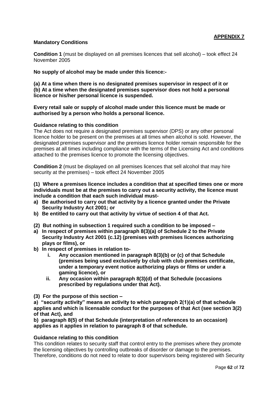## **Mandatory Conditions**

**Condition 1** (must be displayed on all premises licences that sell alcohol) – took effect 24 November 2005

**No supply of alcohol may be made under this licence:-**

**(a) At a time when there is no designated premises supervisor in respect of it or (b) At a time when the designated premises supervisor does not hold a personal licence or his/her personal licence is suspended.**

**Every retail sale or supply of alcohol made under this licence must be made or authorised by a person who holds a personal licence.**

#### **Guidance relating to this condition**

The Act does not require a designated premises supervisor (DPS) or any other personal licence holder to be present on the premises at all times when alcohol is sold. However, the designated premises supervisor and the premises licence holder remain responsible for the premises at all times including compliance with the terms of the Licensing Act and conditions attached to the premises licence to promote the licensing objectives.

**Condition 2** (must be displayed on all premises licences that sell alcohol that may hire security at the premises) – took effect 24 November 2005

**(1) Where a premises licence includes a condition that at specified times one or more individuals must be at the premises to carry out a security activity, the licence must include a condition that each such individual must-**

- **a) Be authorised to carry out that activity by a licence granted under the Private Security Industry Act 2001; or**
- **b) Be entitled to carry out that activity by virtue of section 4 of that Act.**
- **(2) But nothing in subsection 1 required such a condition to be imposed –**
- **a) In respect of premises within paragraph 8(3)(a) of Schedule 2 to the Private Security Industry Act 2001 (c.12) (premises with premises licences authorizing plays or films), or**
- **b) In respect of premises in relation to**
	- **i. Any occasion mentioned in paragraph 8(3)(b) or (c) of that Schedule (premises being used exclusively by club with club premises certificate, under a temporary event notice authorizing plays or films or under a gaming licence), or**
	- **ii. Any occasion within paragraph 8(3)(d) of that Schedule (occasions prescribed by regulations under that Act).**

**(3) For the purpose of this section –**

**a) "security activity" means an activity to which paragraph 2(1)(a) of that schedule applies and which is licensable conduct for the purposes of that Act (see section 3(2) of that Act), and**

**b) paragraph 8(5) of that Schedule (interpretation of references to an occasion) applies as it applies in relation to paragraph 8 of that schedule.**

#### **Guidance relating to this condition**

This condition relates to security staff that control entry to the premises where they promote the licensing objectives by controlling outbreaks of disorder or damage to the premises. Therefore, conditions do not need to relate to door supervisors being registered with Security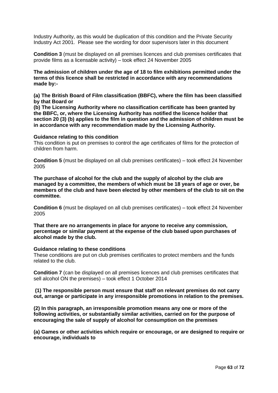Industry Authority, as this would be duplication of this condition and the Private Security Industry Act 2001. Please see the wording for door supervisors later in this document

**Condition 3** (must be displayed on all premises licences and club premises certificates that provide films as a licensable activity) – took effect 24 November 2005

**The admission of children under the age of 18 to film exhibitions permitted under the terms of this licence shall be restricted in accordance with any recommendations made by:-**

**(a) The British Board of Film classification (BBFC), where the film has been classified by that Board or**

**(b) The Licensing Authority where no classification certificate has been granted by the BBFC, or, where the Licensing Authority has notified the licence holder that section 20 (3) (b) applies to the film in question and the admission of children must be in accordance with any recommendation made by the Licensing Authority.**

#### **Guidance relating to this condition**

This condition is put on premises to control the age certificates of films for the protection of children from harm.

**Condition 5** (must be displayed on all club premises certificates) – took effect 24 November 2005

**The purchase of alcohol for the club and the supply of alcohol by the club are managed by a committee, the members of which must be 18 years of age or over, be members of the club and have been elected by other members of the club to sit on the committee.**

**Condition 6** (must be displayed on all club premises certificates) – took effect 24 November 2005

**That there are no arrangements in place for anyone to receive any commission, percentage or similar payment at the expense of the club based upon purchases of alcohol made by the club.**

#### **Guidance relating to these conditions**

These conditions are put on club premises certificates to protect members and the funds related to the club.

**Condition 7** (can be displayed on all premises licences and club premises certificates that sell alcohol ON the premises) – took effect 1 October 2014

## **(1) The responsible person must ensure that staff on relevant premises do not carry out, arrange or participate in any irresponsible promotions in relation to the premises.**

**(2) In this paragraph, an irresponsible promotion means any one or more of the following activities, or substantially similar activities, carried on for the purpose of encouraging the sale of supply of alcohol for consumption on the premises** 

**(a) Games or other activities which require or encourage, or are designed to require or encourage, individuals to**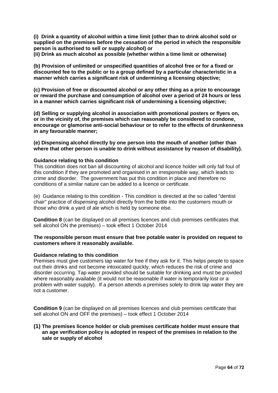**(i) Drink a quantity of alcohol within a time limit (other than to drink alcohol sold or supplied on the premises before the cessation of the period in which the responsible person is authorised to sell or supply alcohol) or**

**(ii) Drink as much alcohol as possible (whether within a time limit or otherwise)**

**(b) Provision of unlimited or unspecified quantities of alcohol free or for a fixed or discounted fee to the public or to a group defined by a particular characteristic in a manner which carries a significant risk of undermining a licensing objective;**

**(c) Provision of free or discounted alcohol or any other thing as a prize to encourage or reward the purchase and consumption of alcohol over a period of 24 hours or less in a manner which carries significant risk of undermining a licensing objective;**

**(d) Selling or supplying alcohol in association with promotional posters or flyers on, or in the vicinity of, the premises which can reasonably be considered to condone, encourage or glamorise anti-social behaviour or to refer to the effects of drunkenness in any favourable manner;**

**(e) Dispensing alcohol directly by one person into the mouth of another (other than where that other person is unable to drink without assistance by reason of disability).**

#### **Guidance relating to this condition**

This condition does not ban all discounting of alcohol and licence holder will only fall foul of this condition if they are promoted and organised in an irresponsible way, which leads to crime and disorder. The government has put this condition in place and therefore no conditions of a similar nature can be added to a licence or certificate.

(e) Guidance relating to this condition - This condition is directed at the so called "dentist chair" practice of dispensing alcohol directly from the bottle into the customers mouth or those who drink a yard of ale which is held by someone else.

**Condition 8** (can be displayed on all premises licences and club premises certificates that sell alcohol ON the premises) – took effect 1 October 2014

## **The responsible person must ensure that free potable water is provided on request to customers where it reasonably available.**

#### **Guidance relating to this condition**

Premises must give customers tap water for free if they ask for it. This helps people to space out their drinks and not become intoxicated quickly, which reduces the risk of crime and disorder occurring. Tap water provided should be suitable for drinking and must be provided where reasonably available (it would not be reasonable if water is temporarily lost or a problem with water supply). If a person attends a premises solely to drink tap water they are not a customer.

**Condition 9** (can be displayed on all premises licences and club premises certificate that sell alcohol ON and OFF the premises) – took effect 1 October 2014

#### **(1) The premises licence holder or club premises certificate holder must ensure that an age verification policy is adopted in respect of the premises in relation to the sale or supply of alcohol**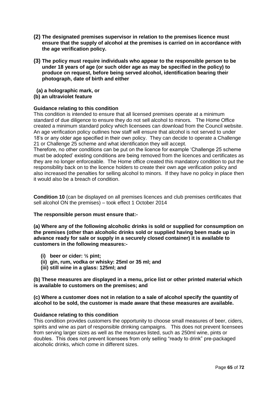- **(2) The designated premises supervisor in relation to the premises licence must ensure that the supply of alcohol at the premises is carried on in accordance with the age verification policy.**
- **(3) The policy must require individuals who appear to the responsible person to be under 18 years of age (or such older age as may be specified in the policy) to produce on request, before being served alcohol, identification bearing their photograph, date of birth and either**
- **(a) a holographic mark, or**
- **(b) an ultraviolet feature**

## **Guidance relating to this condition**

This condition is intended to ensure that all licensed premises operate at a minimum standard of due diligence to ensure they do not sell alcohol to minors. The Home Office created a minimum standard policy which licensees can download from the Council website. An age verification policy outlines how staff will ensure that alcohol is not served to under 18's or any older age specified in their own policy. They can decide to operate a Challenge 21 or Challenge 25 scheme and what identification they will accept.

Therefore, no other conditions can be put on the licence for example 'Challenge 25 scheme must be adopted' existing conditions are being removed from the licences and certificates as they are no longer enforceable. The Home office created this mandatory condition to put the responsibility back on to the licence holders to create their own age verification policy and also increased the penalties for selling alcohol to minors. If they have no policy in place then it would also be a breach of condition.

**Condition 10** (can be displayed on all premises licences and club premises certificates that sell alcohol ON the premises) – took effect 1 October 2014

#### **The responsible person must ensure that:-**

**(a) Where any of the following alcoholic drinks is sold or supplied for consumption on the premises (other than alcoholic drinks sold or supplied having been made up in advance ready for sale or supply in a securely closed container) it is available to customers in the following measures:-**

- **(i) beer or cider: ½ pint;**
- **(ii) gin, rum, vodka or whisky: 25ml or 35 ml; and**
- **(iii) still wine in a glass: 125ml; and**

**(b) These measures are displayed in a menu, price list or other printed material which is available to customers on the premises; and**

## **(c) Where a customer does not in relation to a sale of alcohol specify the quantity of alcohol to be sold, the customer is made aware that these measures are available.**

#### **Guidance relating to this condition**

This condition provides customers the opportunity to choose small measures of beer, ciders, spirits and wine as part of responsible drinking campaigns. This does not prevent licensees from serving larger sizes as well as the measures listed, such as 250ml wine, pints or doubles. This does not prevent licensees from only selling "ready to drink" pre-packaged alcoholic drinks, which come in different sizes.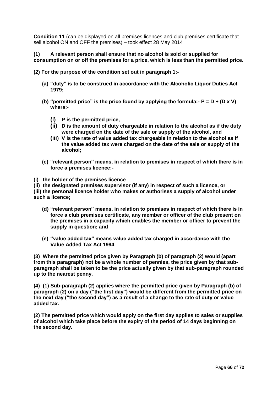**Condition 11** (can be displayed on all premises licences and club premises certificate that sell alcohol ON and OFF the premises) – took effect 28 May 2014

**(1) A relevant person shall ensure that no alcohol is sold or supplied for consumption on or off the premises for a price, which is less than the permitted price.**

**(2) For the purpose of the condition set out in paragraph 1:-**

- **(a) "duty" is to be construed in accordance with the Alcoholic Liquor Duties Act 1979;**
- **(b)** "permitted price" is the price found by applying the formula:-  $P = D + (D \times V)$ **where:-**
	- **(i) P is the permitted price,**
	- **(ii) D is the amount of duty chargeable in relation to the alcohol as if the duty were charged on the date of the sale or supply of the alcohol, and**
	- **(iii) V is the rate of value added tax chargeable in relation to the alcohol as if the value added tax were charged on the date of the sale or supply of the alcohol;**
- **(c) "relevant person" means, in relation to premises in respect of which there is in force a premises licence:-**
- **(i) the holder of the premises licence**

**(ii) the designated premises supervisor (if any) in respect of such a licence, or**

**(iii) the personal licence holder who makes or authorises a supply of alcohol under such a licence;**

- **(d) "relevant person" means, in relation to premises in respect of which there is in force a club premises certificate, any member or officer of the club present on the premises in a capacity which enables the member or officer to prevent the supply in question; and**
- **(e) "value added tax" means value added tax charged in accordance with the Value Added Tax Act 1994**

**(3) Where the permitted price given by Paragraph (b) of paragraph (2) would (apart from this paragraph) not be a whole number of pennies, the price given by that subparagraph shall be taken to be the price actually given by that sub-paragraph rounded up to the nearest penny.**

**(4) (1) Sub-paragraph (2) applies where the permitted price given by Paragraph (b) of paragraph (2) on a day ("the first day") would be different from the permitted price on the next day ("the second day") as a result of a change to the rate of duty or value added tax.**

**(2) The permitted price which would apply on the first day applies to sales or supplies of alcohol which take place before the expiry of the period of 14 days beginning on the second day.**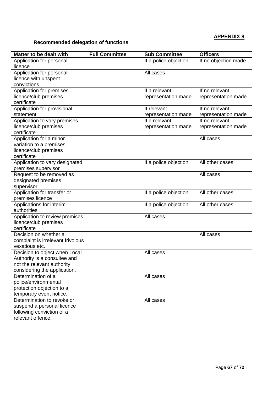# **Recommended delegation of functions**

| Matter to be dealt with                                                                                                     | <b>Full Committee</b> | <b>Sub Committee</b>                 | <b>Officers</b>                       |
|-----------------------------------------------------------------------------------------------------------------------------|-----------------------|--------------------------------------|---------------------------------------|
| Application for personal<br>licence                                                                                         |                       | If a police objection                | If no objection made                  |
| Application for personal<br>licence with unspent<br>convictions                                                             |                       | All cases                            |                                       |
| Application for premises<br>licence/club premises<br>certificate                                                            |                       | If a relevant<br>representation made | If no relevant<br>representation made |
| Application for provisional<br>statement                                                                                    |                       | If relevant<br>representation made   | If no relevant<br>representation made |
| Application to vary premises<br>licence/club premises<br>certificate                                                        |                       | If a relevant<br>representation made | If no relevant<br>representation made |
| Application for a minor<br>variation to a premises<br>licence/club premises<br>certificate                                  |                       |                                      | All cases                             |
| Application to vary designated<br>premises supervisor                                                                       |                       | If a police objection                | All other cases                       |
| Request to be removed as<br>designated premises<br>supervisor                                                               |                       |                                      | All cases                             |
| Application for transfer or<br>premises licence                                                                             |                       | If a police objection                | All other cases                       |
| Applications for interim<br>authorities                                                                                     |                       | If a police objection                | All other cases                       |
| Application to review premises<br>licence/club premises<br>certificate                                                      |                       | All cases                            |                                       |
| Decision on whether a<br>complaint is irrelevant frivolous<br>vexatious etc.                                                |                       |                                      | All cases                             |
| Decision to object when Local<br>Authority is a consultee and<br>not the relevant authority<br>considering the application. |                       | All cases                            |                                       |
| Determination of a<br>police/environmental<br>protection objection to a<br>temporary event notice.                          |                       | All cases                            |                                       |
| Determination to revoke or<br>suspend a personal licence<br>following conviction of a<br>relevant offence.                  |                       | All cases                            |                                       |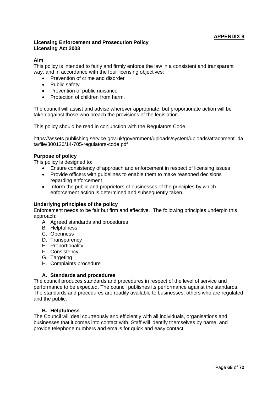# **Licensing Enforcement and Prosecution Policy Licensing Act 2003**

## **Aim**

This policy is intended to fairly and firmly enforce the law in a consistent and transparent way, and in accordance with the four licensing objectives:

- Prevention of crime and disorder
- Public safety
- Prevention of public nuisance
- Protection of children from harm.

The council will assist and advise wherever appropriate, but proportionate action will be taken against those who breach the provisions of the legislation.

This policy should be read in conjunction with the Regulators Code.

[https://assets.publishing.service.gov.uk/government/uploads/system/uploads/attachment\\_da](https://assets.publishing.service.gov.uk/government/uploads/system/uploads/attachment_data/file/300126/14-705-regulators-code.pdf) [ta/file/300126/14-705-regulators-code.pdf](https://assets.publishing.service.gov.uk/government/uploads/system/uploads/attachment_data/file/300126/14-705-regulators-code.pdf)

## **Purpose of policy**

This policy is designed to:

- Ensure consistency of approach and enforcement in respect of licensing issues
- Provide officers with guidelines to enable them to make reasoned decisions regarding enforcement
- Inform the public and proprietors of businesses of the principles by which enforcement action is determined and subsequently taken.

#### **Underlying principles of the policy**

Enforcement needs to be fair but firm and effective. The following principles underpin this approach:

- A. Agreed standards and procedures
- B. Helpfulness
- C. Openness
- D. Transparency
- E. Proportionality
- F. Consistency
- G. Targeting
- H. Complaints procedure

# **A. Standards and procedures**

The council produces standards and procedures in respect of the level of service and performance to be expected. The council publishes its performance against the standards. The standards and procedures are readily available to businesses, others who are regulated and the public.

#### **B. Helpfulness**

The Council will deal courteously and efficiently with all individuals, organisations and businesses that it comes into contact with. Staff will identify themselves by name, and provide telephone numbers and emails for quick and easy contact.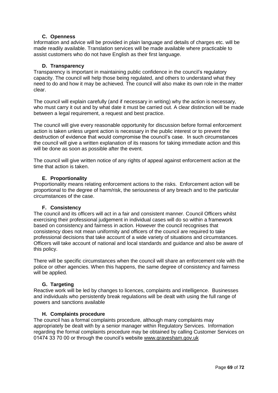# **C. Openness**

Information and advice will be provided in plain language and details of charges etc. will be made readily available. Translation services will be made available where practicable to assist customers who do not have English as their first language.

## **D. Transparency**

Transparency is important in maintaining public confidence in the council's regulatory capacity. The council will help those being regulated, and others to understand what they need to do and how it may be achieved. The council will also make its own role in the matter clear.

The council will explain carefully (and if necessary in writing) why the action is necessary, who must carry it out and by what date it must be carried out. A clear distinction will be made between a legal requirement, a request and best practice.

The council will give every reasonable opportunity for discussion before formal enforcement action is taken unless urgent action is necessary in the public interest or to prevent the destruction of evidence that would compromise the council's case. In such circumstances the council will give a written explanation of its reasons for taking immediate action and this will be done as soon as possible after the event.

The council will give written notice of any rights of appeal against enforcement action at the time that action is taken.

## **E. Proportionality**

Proportionality means relating enforcement actions to the risks. Enforcement action will be proportional to the degree of harm/risk, the seriousness of any breach and to the particular circumstances of the case.

#### **F. Consistency**

The council and its officers will act in a fair and consistent manner. Council Officers whilst exercising their professional judgement in individual cases will do so within a framework based on consistency and fairness in action. However the council recognises that consistency does not mean uniformity and officers of the council are required to take professional decisions that take account of a wide variety of situations and circumstances. Officers will take account of national and local standards and guidance and also be aware of this policy.

There will be specific circumstances when the council will share an enforcement role with the police or other agencies. When this happens, the same degree of consistency and fairness will be applied.

# **G. Targeting**

Reactive work will be led by changes to licences, complaints and intelligence. Businesses and individuals who persistently break regulations will be dealt with using the full range of powers and sanctions available

#### **H. Complaints procedure**

The council has a formal complaints procedure, although many complaints may appropriately be dealt with by a senior manager within Regulatory Services. Information regarding the formal complaints procedure may be obtained by calling Customer Services on 01474 33 70 00 or through the council's website [www.gravesham.gov.uk](http://www.gravesham.gov.uk/)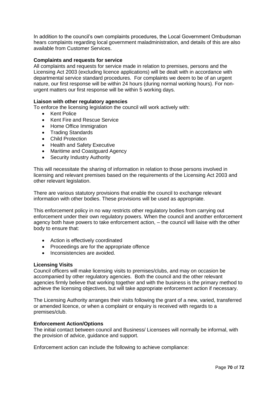In addition to the council's own complaints procedures, the Local Government Ombudsman hears complaints regarding local government maladministration, and details of this are also available from Customer Services.

# **Complaints and requests for service**

All complaints and requests for service made in relation to premises, persons and the Licensing Act 2003 (excluding licence applications) will be dealt with in accordance with departmental service standard procedures. For complaints we deem to be of an urgent nature, our first response will be within 24 hours (during normal working hours). For nonurgent matters our first response will be within 5 working days.

## **Liaison with other regulatory agencies**

To enforce the licensing legislation the council will work actively with:

- Kent Police
- Kent Fire and Rescue Service
- Home Office Immigration
- Trading Standards
- Child Protection
- Health and Safety Executive
- Maritime and Coastguard Agency
- Security Industry Authority

This will necessitate the sharing of information in relation to those persons involved in licensing and relevant premises based on the requirements of the Licensing Act 2003 and other relevant legislation.

There are various statutory provisions that enable the council to exchange relevant information with other bodies. These provisions will be used as appropriate.

This enforcement policy in no way restricts other regulatory bodies from carrying out enforcement under their own regulatory powers. When the council and another enforcement agency both have powers to take enforcement action, – the council will liaise with the other body to ensure that:

- Action is effectively coordinated
- Proceedings are for the appropriate offence
- Inconsistencies are avoided.

#### **Licensing Visits**

Council officers will make licensing visits to premises/clubs, and may on occasion be accompanied by other regulatory agencies. Both the council and the other relevant agencies firmly believe that working together and with the business is the primary method to achieve the licensing objectives, but will take appropriate enforcement action if necessary.

The Licensing Authority arranges their visits following the grant of a new, varied, transferred or amended licence, or when a complaint or enquiry is received with regards to a premises/club.

#### **Enforcement Action/Options**

The initial contact between council and Business/ Licensees will normally be informal, with the provision of advice, guidance and support.

Enforcement action can include the following to achieve compliance: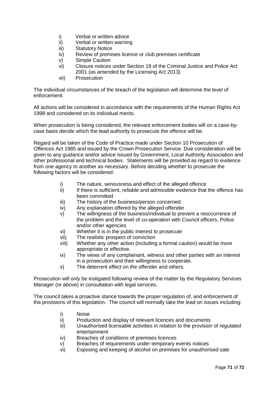- i) Verbal or written advice
- ii) Verbal or written warning
- iii) Statutory Notice
- iv) Review of premises licence or club premises certificate
- v) Simple Caution
- vi) Closure notices under Section 19 of the Criminal Justice and Police Act 2001 (as amended by the Licensing Act 2013)
- vii) Prosecution

The individual circumstances of the breach of the legislation will determine the level of enforcement.

All actions will be considered in accordance with the requirements of the Human Rights Act 1998 and considered on its individual merits.

When prosecution is being considered, the relevant enforcement bodies will on a case-bycase basis decide which the lead authority to prosecute the offence will be.

Regard will be taken of the Code of Practice made under Section 10 Prosecution of Offences Act 1985 and issued by the Crown Prosecution Service. Due consideration will be given to any guidance and/or advice issued by Government, Local Authority Association and other professional and technical bodies. Statements will be provided as regard to evidence from one agency to another as necessary. Before deciding whether to prosecute the following factors will be considered:

- i) The nature, seriousness and effect of the alleged offence
- ii) If there is sufficient, reliable and admissible evidence that the offence has been committed
- iii) The history of the business/person concerned
- iv) Any explanation offered by the alleged offender
- v) The willingness of the business/individual to prevent a reoccurrence of the problem and the level of co-operation with Council officers, Police and/or other agencies
- vi) Whether it is in the public interest to prosecute
- vii) The realistic prospect of conviction
- viii) Whether any other action (including a formal caution) would be more appropriate or effective.
- ix) The views of any complainant, witness and other parties with an interest in a prosecution and their willingness to cooperate.
- x) The deterrent effect on the offender and others.

Prosecution will only be instigated following review of the matter by the Regulatory Services Manager (or above) in consultation with legal services.

The council takes a proactive stance towards the proper regulation of, and enforcement of the provisions of this legislation. The council will normally take the lead on issues including:

- i) Noise
- ii) Production and display of relevant licences and documents
- iii) Unauthorised licensable activities in relation to the provision of regulated entertainment
- iv) Breaches of conditions of premises licences
- v) Breaches of requirements under temporary events notices
- vi) Exposing and keeping of alcohol on premises for unauthorised sale